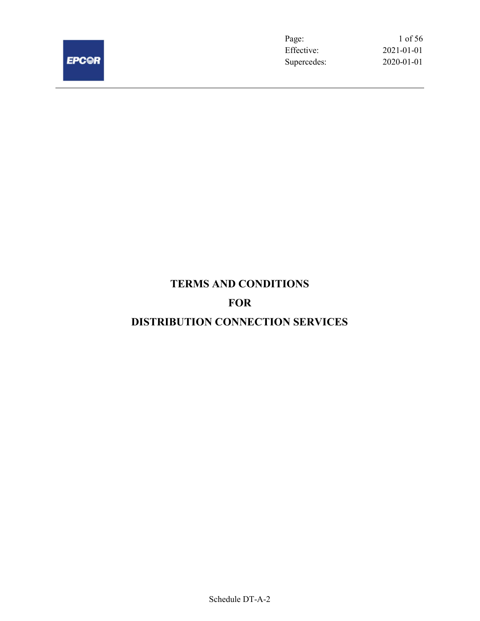

Page: 1 of 56 Effective: 2021-01-01 Supercedes: 2020-01-01

# TERMS AND CONDITIONS

## FOR

## DISTRIBUTION CONNECTION SERVICES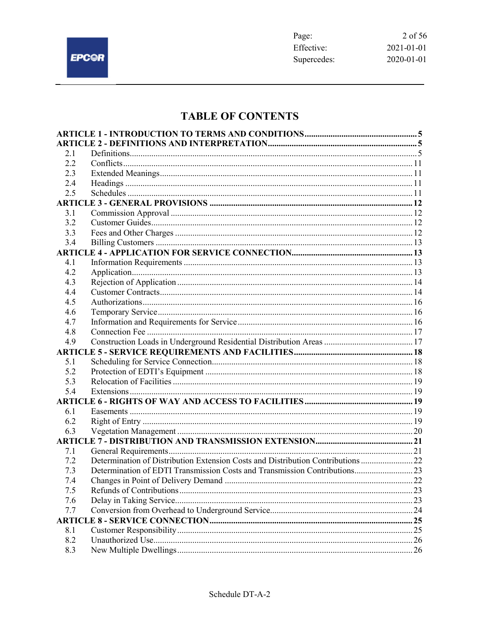$\overline{\phantom{0}}$ 

## **TABLE OF CONTENTS**

| 2.1        |                                                                                  |  |
|------------|----------------------------------------------------------------------------------|--|
| 2.2        |                                                                                  |  |
| 2.3        |                                                                                  |  |
| 2.4        |                                                                                  |  |
| 2.5        |                                                                                  |  |
|            |                                                                                  |  |
| 3.1        |                                                                                  |  |
| 3.2        |                                                                                  |  |
| 3.3        |                                                                                  |  |
| 3.4        |                                                                                  |  |
|            |                                                                                  |  |
| 4.1        |                                                                                  |  |
| 4.2        |                                                                                  |  |
| 4.3        |                                                                                  |  |
| 4.4        |                                                                                  |  |
| 4.5        |                                                                                  |  |
| 4.6        |                                                                                  |  |
| 4.7        |                                                                                  |  |
| 4.8        |                                                                                  |  |
| 4.9        |                                                                                  |  |
|            |                                                                                  |  |
| 5.1        |                                                                                  |  |
| 5.2        |                                                                                  |  |
| 5.3        |                                                                                  |  |
| 5.4        |                                                                                  |  |
|            |                                                                                  |  |
| 6.1        |                                                                                  |  |
| 6.2        |                                                                                  |  |
| 6.3        |                                                                                  |  |
|            |                                                                                  |  |
| 7.1        |                                                                                  |  |
| 7.2        | Determination of Distribution Extension Costs and Distribution Contributions  22 |  |
| 7.3        | Determination of EDTI Transmission Costs and Transmission Contributions 23       |  |
| 7.4        | Changes in Point of Delivery Demand                                              |  |
| 7.5        |                                                                                  |  |
| 7.6        |                                                                                  |  |
| 7.7        |                                                                                  |  |
|            |                                                                                  |  |
| 8.1<br>8.2 |                                                                                  |  |
| 8.3        |                                                                                  |  |
|            |                                                                                  |  |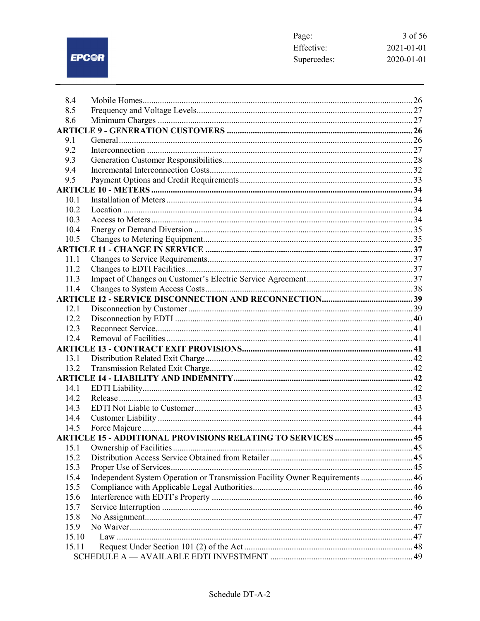## EPC@R

 $\overline{\phantom{0}}$ 

| Page:       | 3 of 56          |
|-------------|------------------|
| Effective:  | 2021-01-01       |
| Supercedes: | $2020 - 01 - 01$ |

| 8.4   |                                                                              |  |
|-------|------------------------------------------------------------------------------|--|
| 8.5   |                                                                              |  |
| 8.6   |                                                                              |  |
|       |                                                                              |  |
| 9.1   |                                                                              |  |
| 9.2   |                                                                              |  |
| 9.3   |                                                                              |  |
| 9.4   |                                                                              |  |
| 9.5   |                                                                              |  |
|       |                                                                              |  |
| 10.1  |                                                                              |  |
| 10.2  |                                                                              |  |
| 10.3  |                                                                              |  |
| 10.4  |                                                                              |  |
| 10.5  |                                                                              |  |
|       |                                                                              |  |
| 11.1  |                                                                              |  |
| 11.2  |                                                                              |  |
| 11.3  |                                                                              |  |
| 11.4  |                                                                              |  |
|       |                                                                              |  |
| 12.1  |                                                                              |  |
| 12.2  |                                                                              |  |
| 12.3  |                                                                              |  |
| 12.4  |                                                                              |  |
|       |                                                                              |  |
| 13.1  |                                                                              |  |
| 13.2  |                                                                              |  |
|       |                                                                              |  |
| 14.1  |                                                                              |  |
| 14.2  |                                                                              |  |
| 14.3  |                                                                              |  |
| 14.4  |                                                                              |  |
| 14.5  |                                                                              |  |
|       | <b>ARTICLE 15 - ADDITIONAL PROVISIONS RELATING TO SERVICES  45</b>           |  |
| 15.1  |                                                                              |  |
| 15.2  |                                                                              |  |
| 15.3  |                                                                              |  |
| 15.4  | Independent System Operation or Transmission Facility Owner Requirements  46 |  |
| 15.5  |                                                                              |  |
| 15.6  |                                                                              |  |
| 15.7  |                                                                              |  |
| 15.8  |                                                                              |  |
| 15.9  |                                                                              |  |
| 15.10 |                                                                              |  |
| 15.11 |                                                                              |  |
|       |                                                                              |  |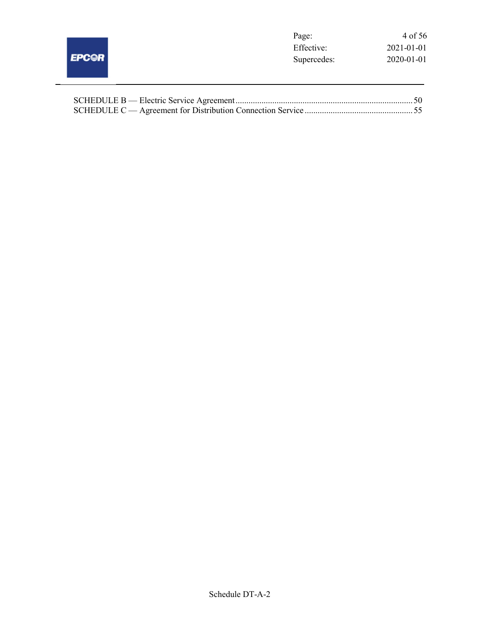|              | Page:       | 4 of 56    |
|--------------|-------------|------------|
|              | Effective:  | 2021-01-01 |
| <b>EPC@R</b> | Supercedes: | 2020-01-01 |
|              |             |            |
|              |             |            |

 $\frac{1}{2}$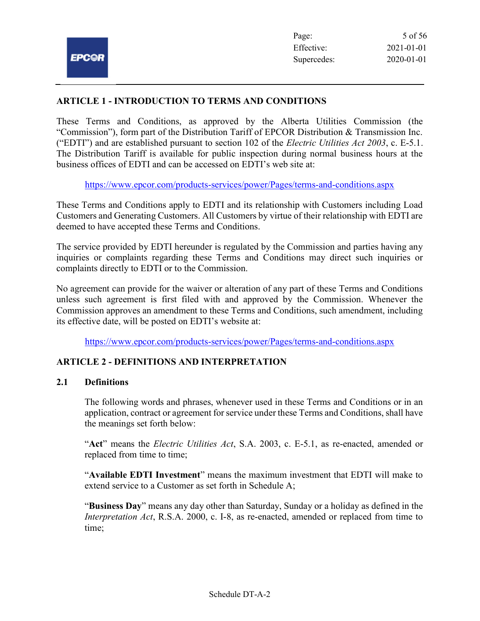## ARTICLE 1 - INTRODUCTION TO TERMS AND CONDITIONS

These Terms and Conditions, as approved by the Alberta Utilities Commission (the "Commission"), form part of the Distribution Tariff of EPCOR Distribution & Transmission Inc. ("EDTI") and are established pursuant to section 102 of the *Electric Utilities Act 2003*, c. E-5.1. The Distribution Tariff is available for public inspection during normal business hours at the business offices of EDTI and can be accessed on EDTI's web site at:

https://www.epcor.com/products-services/power/Pages/terms-and-conditions.aspx

These Terms and Conditions apply to EDTI and its relationship with Customers including Load Customers and Generating Customers. All Customers by virtue of their relationship with EDTI are deemed to have accepted these Terms and Conditions.

The service provided by EDTI hereunder is regulated by the Commission and parties having any inquiries or complaints regarding these Terms and Conditions may direct such inquiries or complaints directly to EDTI or to the Commission.

No agreement can provide for the waiver or alteration of any part of these Terms and Conditions unless such agreement is first filed with and approved by the Commission. Whenever the Commission approves an amendment to these Terms and Conditions, such amendment, including its effective date, will be posted on EDTI's website at:

https://www.epcor.com/products-services/power/Pages/terms-and-conditions.aspx

## ARTICLE 2 - DEFINITIONS AND INTERPRETATION

#### 2.1 Definitions

The following words and phrases, whenever used in these Terms and Conditions or in an application, contract or agreement for service under these Terms and Conditions, shall have the meanings set forth below:

"Act" means the *Electric Utilities Act*, S.A. 2003, c. E-5.1, as re-enacted, amended or replaced from time to time;

"Available EDTI Investment" means the maximum investment that EDTI will make to extend service to a Customer as set forth in Schedule A;

"Business Day" means any day other than Saturday, Sunday or a holiday as defined in the Interpretation Act, R.S.A. 2000, c. I-8, as re-enacted, amended or replaced from time to time;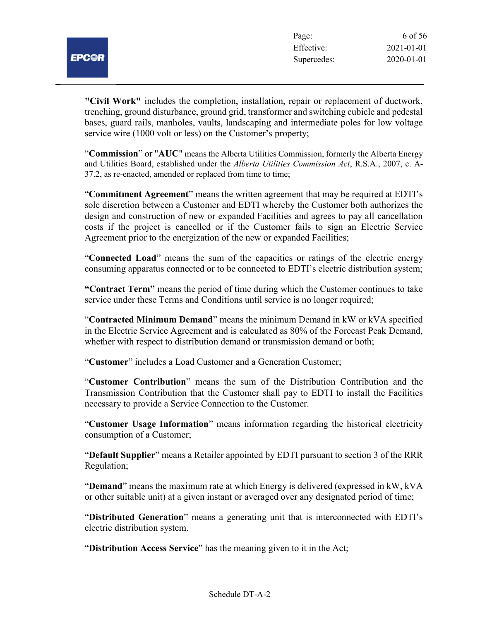

"Civil Work" includes the completion, installation, repair or replacement of ductwork, trenching, ground disturbance, ground grid, transformer and switching cubicle and pedestal bases, guard rails, manholes, vaults, landscaping and intermediate poles for low voltage service wire (1000 volt or less) on the Customer's property;

"Commission" or "AUC" means the Alberta Utilities Commission, formerly the Alberta Energy and Utilities Board, established under the Alberta Utilities Commission Act, R.S.A., 2007, c. A-37.2, as re-enacted, amended or replaced from time to time;

"Commitment Agreement" means the written agreement that may be required at EDTI's sole discretion between a Customer and EDTI whereby the Customer both authorizes the design and construction of new or expanded Facilities and agrees to pay all cancellation costs if the project is cancelled or if the Customer fails to sign an Electric Service Agreement prior to the energization of the new or expanded Facilities;

"Connected Load" means the sum of the capacities or ratings of the electric energy consuming apparatus connected or to be connected to EDTI's electric distribution system;

"Contract Term" means the period of time during which the Customer continues to take service under these Terms and Conditions until service is no longer required;

"Contracted Minimum Demand" means the minimum Demand in kW or kVA specified in the Electric Service Agreement and is calculated as 80% of the Forecast Peak Demand, whether with respect to distribution demand or transmission demand or both;

"Customer" includes a Load Customer and a Generation Customer;

"Customer Contribution" means the sum of the Distribution Contribution and the Transmission Contribution that the Customer shall pay to EDTI to install the Facilities necessary to provide a Service Connection to the Customer.

"Customer Usage Information" means information regarding the historical electricity consumption of a Customer;

"Default Supplier" means a Retailer appointed by EDTI pursuant to section 3 of the RRR Regulation;

"Demand" means the maximum rate at which Energy is delivered (expressed in kW, kVA or other suitable unit) at a given instant or averaged over any designated period of time;

"Distributed Generation" means a generating unit that is interconnected with EDTI's electric distribution system.

"Distribution Access Service" has the meaning given to it in the Act;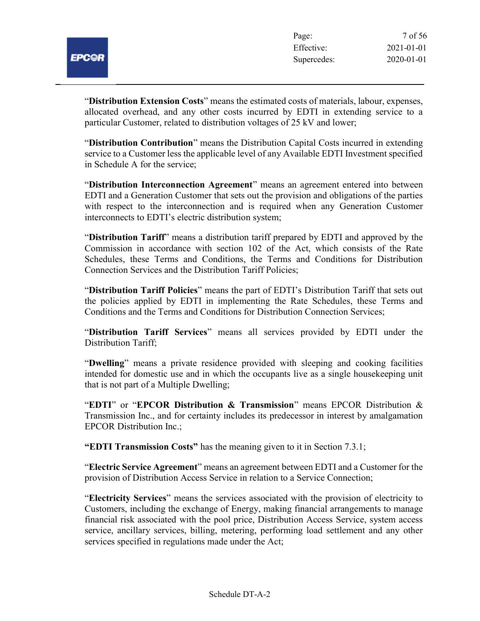

"Distribution Extension Costs" means the estimated costs of materials, labour, expenses, allocated overhead, and any other costs incurred by EDTI in extending service to a particular Customer, related to distribution voltages of 25 kV and lower;

"Distribution Contribution" means the Distribution Capital Costs incurred in extending service to a Customer less the applicable level of any Available EDTI Investment specified in Schedule A for the service;

"Distribution Interconnection Agreement" means an agreement entered into between EDTI and a Generation Customer that sets out the provision and obligations of the parties with respect to the interconnection and is required when any Generation Customer interconnects to EDTI's electric distribution system;

"Distribution Tariff" means a distribution tariff prepared by EDTI and approved by the Commission in accordance with section 102 of the Act, which consists of the Rate Schedules, these Terms and Conditions, the Terms and Conditions for Distribution Connection Services and the Distribution Tariff Policies;

"Distribution Tariff Policies" means the part of EDTI's Distribution Tariff that sets out the policies applied by EDTI in implementing the Rate Schedules, these Terms and Conditions and the Terms and Conditions for Distribution Connection Services;

"Distribution Tariff Services" means all services provided by EDTI under the Distribution Tariff;

"Dwelling" means a private residence provided with sleeping and cooking facilities intended for domestic use and in which the occupants live as a single housekeeping unit that is not part of a Multiple Dwelling;

"EDTI" or "EPCOR Distribution  $\&$  Transmission" means EPCOR Distribution  $\&$ Transmission Inc., and for certainty includes its predecessor in interest by amalgamation EPCOR Distribution Inc.;

"EDTI Transmission Costs" has the meaning given to it in Section 7.3.1;

"Electric Service Agreement" means an agreement between EDTI and a Customer for the provision of Distribution Access Service in relation to a Service Connection;

"Electricity Services" means the services associated with the provision of electricity to Customers, including the exchange of Energy, making financial arrangements to manage financial risk associated with the pool price, Distribution Access Service, system access service, ancillary services, billing, metering, performing load settlement and any other services specified in regulations made under the Act;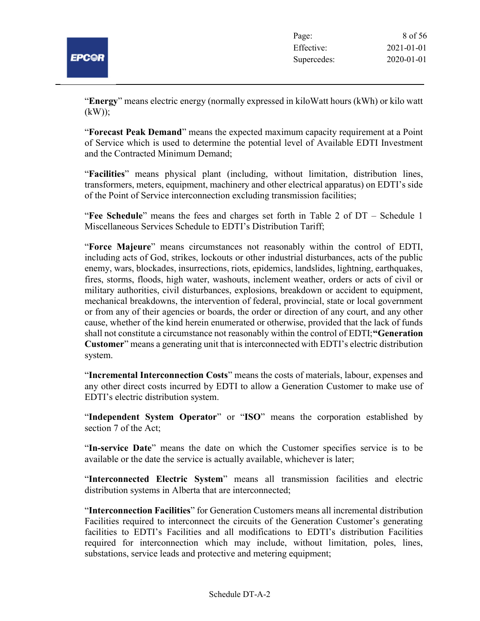

"Energy" means electric energy (normally expressed in kiloWatt hours (kWh) or kilo watt  $(kW)$ :

"Forecast Peak Demand" means the expected maximum capacity requirement at a Point of Service which is used to determine the potential level of Available EDTI Investment and the Contracted Minimum Demand;

"Facilities" means physical plant (including, without limitation, distribution lines, transformers, meters, equipment, machinery and other electrical apparatus) on EDTI's side of the Point of Service interconnection excluding transmission facilities;

"Fee Schedule" means the fees and charges set forth in Table 2 of DT – Schedule 1 Miscellaneous Services Schedule to EDTI's Distribution Tariff;

"Force Majeure" means circumstances not reasonably within the control of EDTI, including acts of God, strikes, lockouts or other industrial disturbances, acts of the public enemy, wars, blockades, insurrections, riots, epidemics, landslides, lightning, earthquakes, fires, storms, floods, high water, washouts, inclement weather, orders or acts of civil or military authorities, civil disturbances, explosions, breakdown or accident to equipment, mechanical breakdowns, the intervention of federal, provincial, state or local government or from any of their agencies or boards, the order or direction of any court, and any other cause, whether of the kind herein enumerated or otherwise, provided that the lack of funds shall not constitute a circumstance not reasonably within the control of EDTI; "Generation Customer" means a generating unit that is interconnected with EDTI's electric distribution system.

"Incremental Interconnection Costs" means the costs of materials, labour, expenses and any other direct costs incurred by EDTI to allow a Generation Customer to make use of EDTI's electric distribution system.

"Independent System Operator" or "ISO" means the corporation established by section 7 of the Act;

"In-service Date" means the date on which the Customer specifies service is to be available or the date the service is actually available, whichever is later;

"Interconnected Electric System" means all transmission facilities and electric distribution systems in Alberta that are interconnected;

"Interconnection Facilities" for Generation Customers means all incremental distribution Facilities required to interconnect the circuits of the Generation Customer's generating facilities to EDTI's Facilities and all modifications to EDTI's distribution Facilities required for interconnection which may include, without limitation, poles, lines, substations, service leads and protective and metering equipment;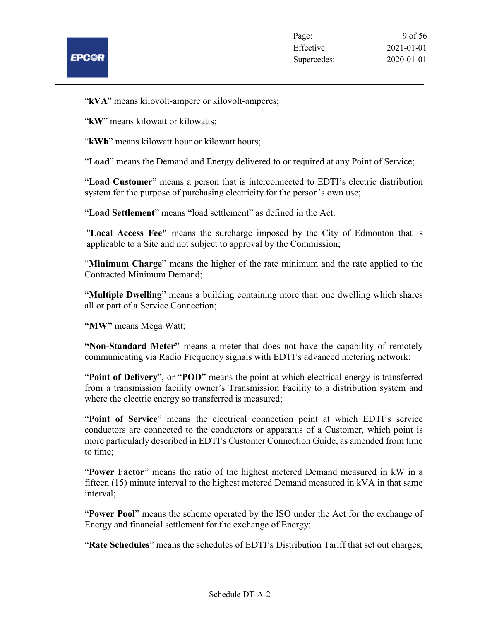

"kVA" means kilovolt-ampere or kilovolt-amperes;

"kW" means kilowatt or kilowatts;

"kWh" means kilowatt hour or kilowatt hours;

"Load" means the Demand and Energy delivered to or required at any Point of Service;

"Load Customer" means a person that is interconnected to EDTI's electric distribution system for the purpose of purchasing electricity for the person's own use;

"Load Settlement" means "load settlement" as defined in the Act.

"Local Access Fee" means the surcharge imposed by the City of Edmonton that is applicable to a Site and not subject to approval by the Commission;

"Minimum Charge" means the higher of the rate minimum and the rate applied to the Contracted Minimum Demand;

"Multiple Dwelling" means a building containing more than one dwelling which shares all or part of a Service Connection;

"MW" means Mega Watt;

"Non-Standard Meter" means a meter that does not have the capability of remotely communicating via Radio Frequency signals with EDTI's advanced metering network;

"Point of Delivery", or "POD" means the point at which electrical energy is transferred from a transmission facility owner's Transmission Facility to a distribution system and where the electric energy so transferred is measured;

"Point of Service" means the electrical connection point at which EDTI's service conductors are connected to the conductors or apparatus of a Customer, which point is more particularly described in EDTI's Customer Connection Guide, as amended from time to time;

"Power Factor" means the ratio of the highest metered Demand measured in kW in a fifteen (15) minute interval to the highest metered Demand measured in kVA in that same interval;

"Power Pool" means the scheme operated by the ISO under the Act for the exchange of Energy and financial settlement for the exchange of Energy;

"Rate Schedules" means the schedules of EDTI's Distribution Tariff that set out charges;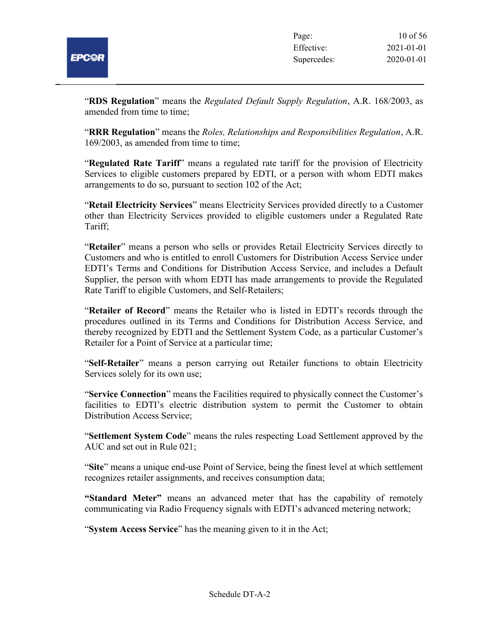

"RDS Regulation" means the Regulated Default Supply Regulation, A.R. 168/2003, as amended from time to time;

**"RRR Regulation**" means the *Roles, Relationships and Responsibilities Regulation*, A.R. 169/2003, as amended from time to time;

"Regulated Rate Tariff" means a regulated rate tariff for the provision of Electricity Services to eligible customers prepared by EDTI, or a person with whom EDTI makes arrangements to do so, pursuant to section 102 of the Act;

"Retail Electricity Services" means Electricity Services provided directly to a Customer other than Electricity Services provided to eligible customers under a Regulated Rate Tariff;

"Retailer" means a person who sells or provides Retail Electricity Services directly to Customers and who is entitled to enroll Customers for Distribution Access Service under EDTI's Terms and Conditions for Distribution Access Service, and includes a Default Supplier, the person with whom EDTI has made arrangements to provide the Regulated Rate Tariff to eligible Customers, and Self-Retailers;

"Retailer of Record" means the Retailer who is listed in EDTI's records through the procedures outlined in its Terms and Conditions for Distribution Access Service, and thereby recognized by EDTI and the Settlement System Code, as a particular Customer's Retailer for a Point of Service at a particular time;

"Self-Retailer" means a person carrying out Retailer functions to obtain Electricity Services solely for its own use;

"Service Connection" means the Facilities required to physically connect the Customer's facilities to EDTI's electric distribution system to permit the Customer to obtain Distribution Access Service;

"Settlement System Code" means the rules respecting Load Settlement approved by the AUC and set out in Rule 021;

"Site" means a unique end-use Point of Service, being the finest level at which settlement recognizes retailer assignments, and receives consumption data;

"Standard Meter" means an advanced meter that has the capability of remotely communicating via Radio Frequency signals with EDTI's advanced metering network;

"System Access Service" has the meaning given to it in the Act;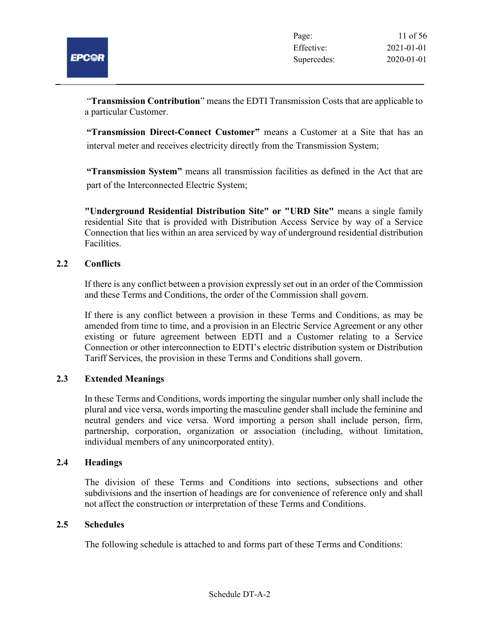"Transmission Contribution" means the EDTI Transmission Costs that are applicable to a particular Customer.

"Transmission Direct-Connect Customer" means a Customer at a Site that has an interval meter and receives electricity directly from the Transmission System;

"Transmission System" means all transmission facilities as defined in the Act that are part of the Interconnected Electric System;

"Underground Residential Distribution Site" or "URD Site" means a single family residential Site that is provided with Distribution Access Service by way of a Service Connection that lies within an area serviced by way of underground residential distribution Facilities.

## 2.2 Conflicts

If there is any conflict between a provision expressly set out in an order of the Commission and these Terms and Conditions, the order of the Commission shall govern.

If there is any conflict between a provision in these Terms and Conditions, as may be amended from time to time, and a provision in an Electric Service Agreement or any other existing or future agreement between EDTI and a Customer relating to a Service Connection or other interconnection to EDTI's electric distribution system or Distribution Tariff Services, the provision in these Terms and Conditions shall govern.

#### 2.3 Extended Meanings

In these Terms and Conditions, words importing the singular number only shall include the plural and vice versa, words importing the masculine gender shall include the feminine and neutral genders and vice versa. Word importing a person shall include person, firm, partnership, corporation, organization or association (including, without limitation, individual members of any unincorporated entity).

#### 2.4 Headings

The division of these Terms and Conditions into sections, subsections and other subdivisions and the insertion of headings are for convenience of reference only and shall not affect the construction or interpretation of these Terms and Conditions.

#### 2.5 Schedules

The following schedule is attached to and forms part of these Terms and Conditions: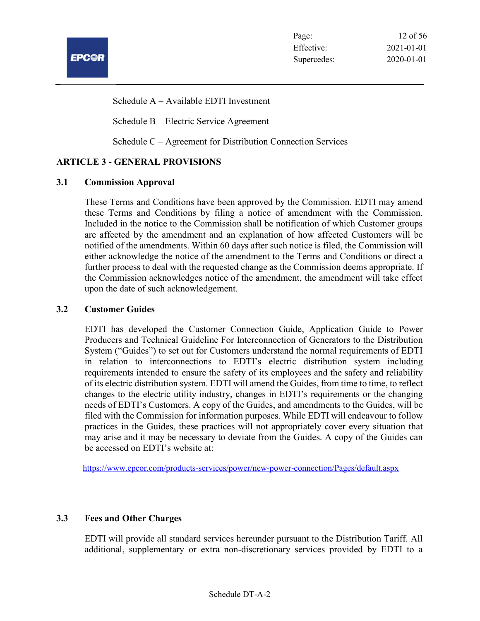

Schedule A – Available EDTI Investment

Schedule B – Electric Service Agreement

Schedule C – Agreement for Distribution Connection Services

## ARTICLE 3 - GENERAL PROVISIONS

#### 3.1 Commission Approval

These Terms and Conditions have been approved by the Commission. EDTI may amend these Terms and Conditions by filing a notice of amendment with the Commission. Included in the notice to the Commission shall be notification of which Customer groups are affected by the amendment and an explanation of how affected Customers will be notified of the amendments. Within 60 days after such notice is filed, the Commission will either acknowledge the notice of the amendment to the Terms and Conditions or direct a further process to deal with the requested change as the Commission deems appropriate. If the Commission acknowledges notice of the amendment, the amendment will take effect upon the date of such acknowledgement.

#### 3.2 Customer Guides

EDTI has developed the Customer Connection Guide, Application Guide to Power Producers and Technical Guideline For Interconnection of Generators to the Distribution System ("Guides") to set out for Customers understand the normal requirements of EDTI in relation to interconnections to EDTI's electric distribution system including requirements intended to ensure the safety of its employees and the safety and reliability of its electric distribution system. EDTI will amend the Guides, from time to time, to reflect changes to the electric utility industry, changes in EDTI's requirements or the changing needs of EDTI's Customers. A copy of the Guides, and amendments to the Guides, will be filed with the Commission for information purposes. While EDTI will endeavour to follow practices in the Guides, these practices will not appropriately cover every situation that may arise and it may be necessary to deviate from the Guides. A copy of the Guides can be accessed on EDTI's website at:

https://www.epcor.com/products-services/power/new-power-connection/Pages/default.aspx

## 3.3 Fees and Other Charges

EDTI will provide all standard services hereunder pursuant to the Distribution Tariff. All additional, supplementary or extra non-discretionary services provided by EDTI to a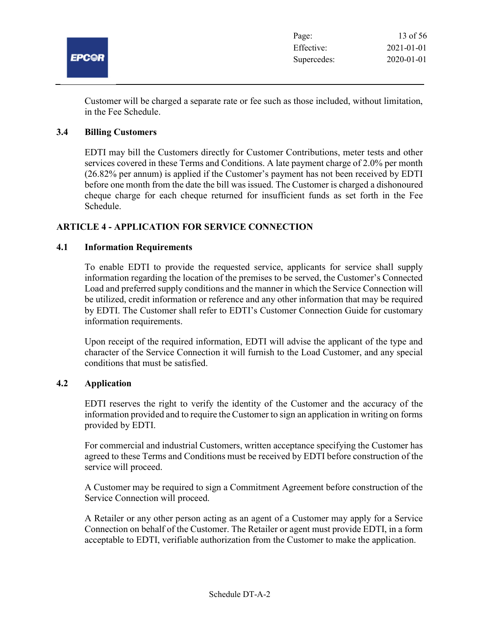

Customer will be charged a separate rate or fee such as those included, without limitation, in the Fee Schedule.

#### 3.4 Billing Customers

EDTI may bill the Customers directly for Customer Contributions, meter tests and other services covered in these Terms and Conditions. A late payment charge of 2.0% per month (26.82% per annum) is applied if the Customer's payment has not been received by EDTI before one month from the date the bill was issued. The Customer is charged a dishonoured cheque charge for each cheque returned for insufficient funds as set forth in the Fee Schedule.

## ARTICLE 4 - APPLICATION FOR SERVICE CONNECTION

#### 4.1 Information Requirements

To enable EDTI to provide the requested service, applicants for service shall supply information regarding the location of the premises to be served, the Customer's Connected Load and preferred supply conditions and the manner in which the Service Connection will be utilized, credit information or reference and any other information that may be required by EDTI. The Customer shall refer to EDTI's Customer Connection Guide for customary information requirements.

Upon receipt of the required information, EDTI will advise the applicant of the type and character of the Service Connection it will furnish to the Load Customer, and any special conditions that must be satisfied.

#### 4.2 Application

EDTI reserves the right to verify the identity of the Customer and the accuracy of the information provided and to require the Customer to sign an application in writing on forms provided by EDTI.

For commercial and industrial Customers, written acceptance specifying the Customer has agreed to these Terms and Conditions must be received by EDTI before construction of the service will proceed.

A Customer may be required to sign a Commitment Agreement before construction of the Service Connection will proceed.

A Retailer or any other person acting as an agent of a Customer may apply for a Service Connection on behalf of the Customer. The Retailer or agent must provide EDTI, in a form acceptable to EDTI, verifiable authorization from the Customer to make the application.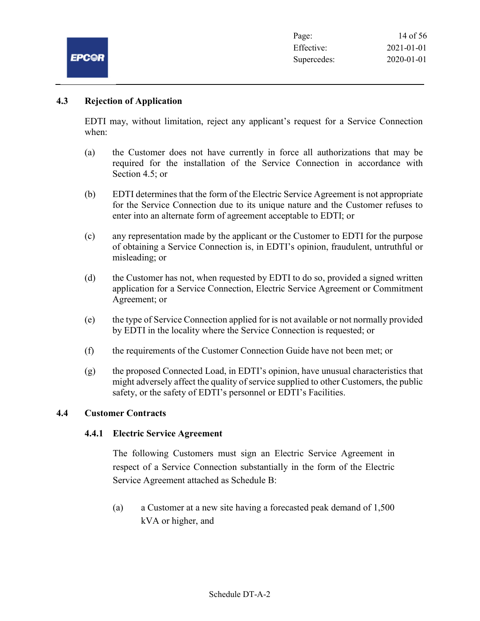

## 4.3 Rejection of Application

EDTI may, without limitation, reject any applicant's request for a Service Connection when:

- (a) the Customer does not have currently in force all authorizations that may be required for the installation of the Service Connection in accordance with Section 4.5; or
- (b) EDTI determines that the form of the Electric Service Agreement is not appropriate for the Service Connection due to its unique nature and the Customer refuses to enter into an alternate form of agreement acceptable to EDTI; or
- (c) any representation made by the applicant or the Customer to EDTI for the purpose of obtaining a Service Connection is, in EDTI's opinion, fraudulent, untruthful or misleading; or
- (d) the Customer has not, when requested by EDTI to do so, provided a signed written application for a Service Connection, Electric Service Agreement or Commitment Agreement; or
- (e) the type of Service Connection applied for is not available or not normally provided by EDTI in the locality where the Service Connection is requested; or
- (f) the requirements of the Customer Connection Guide have not been met; or
- (g) the proposed Connected Load, in EDTI's opinion, have unusual characteristics that might adversely affect the quality of service supplied to other Customers, the public safety, or the safety of EDTI's personnel or EDTI's Facilities.

## 4.4 Customer Contracts

## 4.4.1 Electric Service Agreement

The following Customers must sign an Electric Service Agreement in respect of a Service Connection substantially in the form of the Electric Service Agreement attached as Schedule B:

(a) a Customer at a new site having a forecasted peak demand of 1,500 kVA or higher, and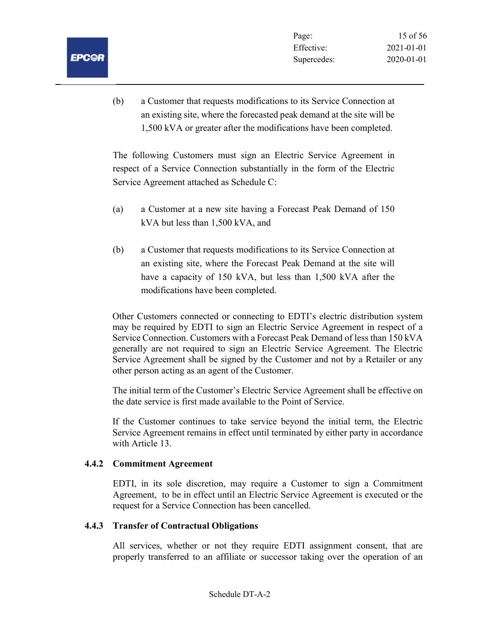(b) a Customer that requests modifications to its Service Connection at an existing site, where the forecasted peak demand at the site will be 1,500 kVA or greater after the modifications have been completed.

The following Customers must sign an Electric Service Agreement in respect of a Service Connection substantially in the form of the Electric Service Agreement attached as Schedule C:

- (a) a Customer at a new site having a Forecast Peak Demand of 150 kVA but less than 1,500 kVA, and
- (b) a Customer that requests modifications to its Service Connection at an existing site, where the Forecast Peak Demand at the site will have a capacity of 150 kVA, but less than 1,500 kVA after the modifications have been completed.

Other Customers connected or connecting to EDTI's electric distribution system may be required by EDTI to sign an Electric Service Agreement in respect of a Service Connection. Customers with a Forecast Peak Demand of less than 150 kVA generally are not required to sign an Electric Service Agreement. The Electric Service Agreement shall be signed by the Customer and not by a Retailer or any other person acting as an agent of the Customer.

The initial term of the Customer's Electric Service Agreement shall be effective on the date service is first made available to the Point of Service.

If the Customer continues to take service beyond the initial term, the Electric Service Agreement remains in effect until terminated by either party in accordance with Article 13.

#### 4.4.2 Commitment Agreement

EDTI, in its sole discretion, may require a Customer to sign a Commitment Agreement, to be in effect until an Electric Service Agreement is executed or the request for a Service Connection has been cancelled.

#### 4.4.3 Transfer of Contractual Obligations

All services, whether or not they require EDTI assignment consent, that are properly transferred to an affiliate or successor taking over the operation of an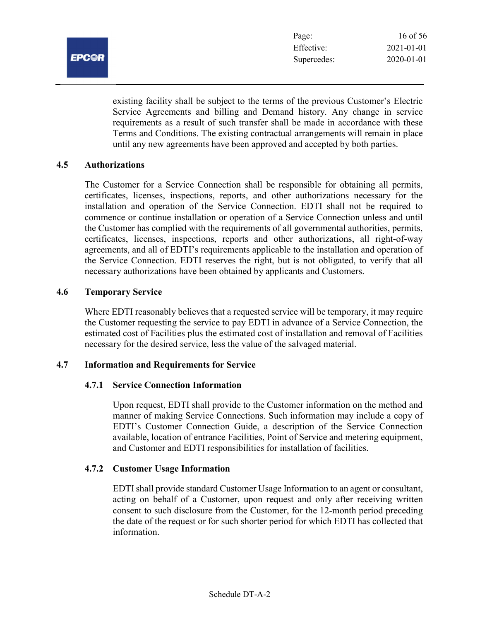

existing facility shall be subject to the terms of the previous Customer's Electric Service Agreements and billing and Demand history. Any change in service requirements as a result of such transfer shall be made in accordance with these Terms and Conditions. The existing contractual arrangements will remain in place until any new agreements have been approved and accepted by both parties.

#### 4.5 Authorizations

The Customer for a Service Connection shall be responsible for obtaining all permits, certificates, licenses, inspections, reports, and other authorizations necessary for the installation and operation of the Service Connection. EDTI shall not be required to commence or continue installation or operation of a Service Connection unless and until the Customer has complied with the requirements of all governmental authorities, permits, certificates, licenses, inspections, reports and other authorizations, all right-of-way agreements, and all of EDTI's requirements applicable to the installation and operation of the Service Connection. EDTI reserves the right, but is not obligated, to verify that all necessary authorizations have been obtained by applicants and Customers.

#### 4.6 Temporary Service

Where EDTI reasonably believes that a requested service will be temporary, it may require the Customer requesting the service to pay EDTI in advance of a Service Connection, the estimated cost of Facilities plus the estimated cost of installation and removal of Facilities necessary for the desired service, less the value of the salvaged material.

#### 4.7 Information and Requirements for Service

#### 4.7.1 Service Connection Information

Upon request, EDTI shall provide to the Customer information on the method and manner of making Service Connections. Such information may include a copy of EDTI's Customer Connection Guide, a description of the Service Connection available, location of entrance Facilities, Point of Service and metering equipment, and Customer and EDTI responsibilities for installation of facilities.

#### 4.7.2 Customer Usage Information

EDTI shall provide standard Customer Usage Information to an agent or consultant, acting on behalf of a Customer, upon request and only after receiving written consent to such disclosure from the Customer, for the 12-month period preceding the date of the request or for such shorter period for which EDTI has collected that information.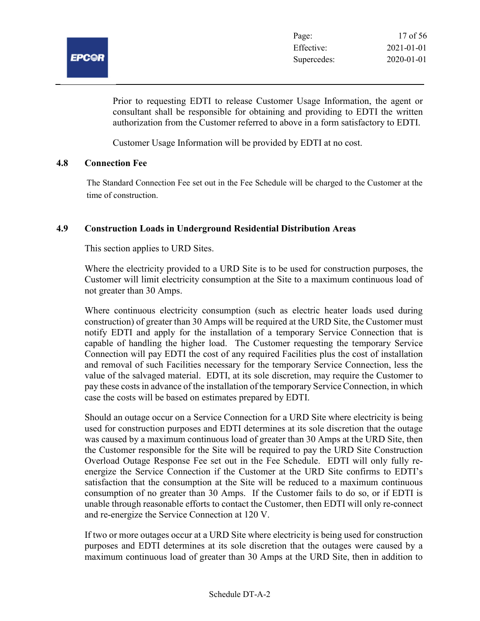

Prior to requesting EDTI to release Customer Usage Information, the agent or consultant shall be responsible for obtaining and providing to EDTI the written authorization from the Customer referred to above in a form satisfactory to EDTI.

Customer Usage Information will be provided by EDTI at no cost.

#### 4.8 Connection Fee

The Standard Connection Fee set out in the Fee Schedule will be charged to the Customer at the time of construction.

#### 4.9 Construction Loads in Underground Residential Distribution Areas

This section applies to URD Sites.

Where the electricity provided to a URD Site is to be used for construction purposes, the Customer will limit electricity consumption at the Site to a maximum continuous load of not greater than 30 Amps.

Where continuous electricity consumption (such as electric heater loads used during construction) of greater than 30 Amps will be required at the URD Site, the Customer must notify EDTI and apply for the installation of a temporary Service Connection that is capable of handling the higher load. The Customer requesting the temporary Service Connection will pay EDTI the cost of any required Facilities plus the cost of installation and removal of such Facilities necessary for the temporary Service Connection, less the value of the salvaged material. EDTI, at its sole discretion, may require the Customer to pay these costs in advance of the installation of the temporary Service Connection, in which case the costs will be based on estimates prepared by EDTI.

Should an outage occur on a Service Connection for a URD Site where electricity is being used for construction purposes and EDTI determines at its sole discretion that the outage was caused by a maximum continuous load of greater than 30 Amps at the URD Site, then the Customer responsible for the Site will be required to pay the URD Site Construction Overload Outage Response Fee set out in the Fee Schedule. EDTI will only fully reenergize the Service Connection if the Customer at the URD Site confirms to EDTI's satisfaction that the consumption at the Site will be reduced to a maximum continuous consumption of no greater than 30 Amps. If the Customer fails to do so, or if EDTI is unable through reasonable efforts to contact the Customer, then EDTI will only re-connect and re-energize the Service Connection at 120 V.

If two or more outages occur at a URD Site where electricity is being used for construction purposes and EDTI determines at its sole discretion that the outages were caused by a maximum continuous load of greater than 30 Amps at the URD Site, then in addition to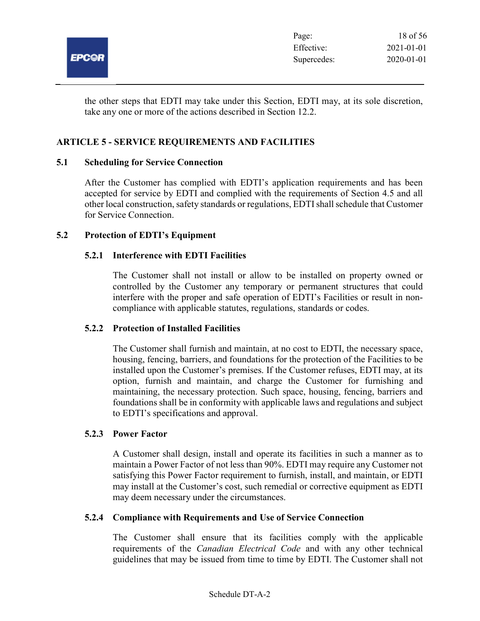

the other steps that EDTI may take under this Section, EDTI may, at its sole discretion, take any one or more of the actions described in Section 12.2.

## ARTICLE 5 - SERVICE REQUIREMENTS AND FACILITIES

#### 5.1 Scheduling for Service Connection

After the Customer has complied with EDTI's application requirements and has been accepted for service by EDTI and complied with the requirements of Section 4.5 and all other local construction, safety standards or regulations, EDTI shall schedule that Customer for Service Connection.

#### 5.2 Protection of EDTI's Equipment

#### 5.2.1 Interference with EDTI Facilities

The Customer shall not install or allow to be installed on property owned or controlled by the Customer any temporary or permanent structures that could interfere with the proper and safe operation of EDTI's Facilities or result in noncompliance with applicable statutes, regulations, standards or codes.

#### 5.2.2 Protection of Installed Facilities

The Customer shall furnish and maintain, at no cost to EDTI, the necessary space, housing, fencing, barriers, and foundations for the protection of the Facilities to be installed upon the Customer's premises. If the Customer refuses, EDTI may, at its option, furnish and maintain, and charge the Customer for furnishing and maintaining, the necessary protection. Such space, housing, fencing, barriers and foundations shall be in conformity with applicable laws and regulations and subject to EDTI's specifications and approval.

#### 5.2.3 Power Factor

A Customer shall design, install and operate its facilities in such a manner as to maintain a Power Factor of not less than 90%. EDTI may require any Customer not satisfying this Power Factor requirement to furnish, install, and maintain, or EDTI may install at the Customer's cost, such remedial or corrective equipment as EDTI may deem necessary under the circumstances.

#### 5.2.4 Compliance with Requirements and Use of Service Connection

The Customer shall ensure that its facilities comply with the applicable requirements of the *Canadian Electrical Code* and with any other technical guidelines that may be issued from time to time by EDTI. The Customer shall not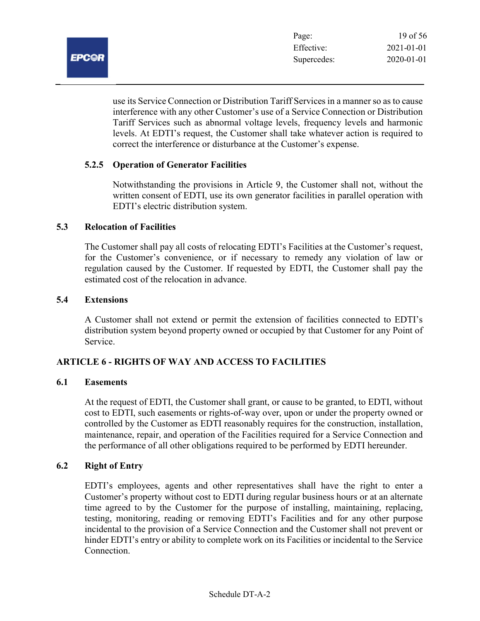

use its Service Connection or Distribution Tariff Services in a manner so as to cause interference with any other Customer's use of a Service Connection or Distribution Tariff Services such as abnormal voltage levels, frequency levels and harmonic levels. At EDTI's request, the Customer shall take whatever action is required to correct the interference or disturbance at the Customer's expense.

## 5.2.5 Operation of Generator Facilities

Notwithstanding the provisions in Article 9, the Customer shall not, without the written consent of EDTI, use its own generator facilities in parallel operation with EDTI's electric distribution system.

#### 5.3 Relocation of Facilities

The Customer shall pay all costs of relocating EDTI's Facilities at the Customer's request, for the Customer's convenience, or if necessary to remedy any violation of law or regulation caused by the Customer. If requested by EDTI, the Customer shall pay the estimated cost of the relocation in advance.

#### 5.4 Extensions

A Customer shall not extend or permit the extension of facilities connected to EDTI's distribution system beyond property owned or occupied by that Customer for any Point of Service.

#### ARTICLE 6 - RIGHTS OF WAY AND ACCESS TO FACILITIES

#### 6.1 Easements

At the request of EDTI, the Customer shall grant, or cause to be granted, to EDTI, without cost to EDTI, such easements or rights-of-way over, upon or under the property owned or controlled by the Customer as EDTI reasonably requires for the construction, installation, maintenance, repair, and operation of the Facilities required for a Service Connection and the performance of all other obligations required to be performed by EDTI hereunder.

### 6.2 Right of Entry

EDTI's employees, agents and other representatives shall have the right to enter a Customer's property without cost to EDTI during regular business hours or at an alternate time agreed to by the Customer for the purpose of installing, maintaining, replacing, testing, monitoring, reading or removing EDTI's Facilities and for any other purpose incidental to the provision of a Service Connection and the Customer shall not prevent or hinder EDTI's entry or ability to complete work on its Facilities or incidental to the Service Connection.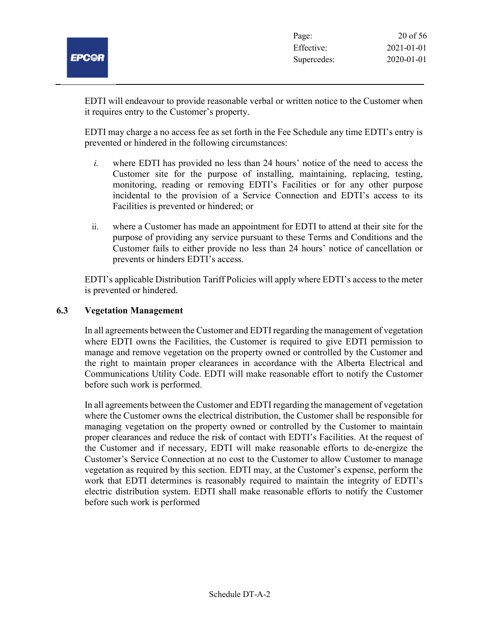EDTI will endeavour to provide reasonable verbal or written notice to the Customer when it requires entry to the Customer's property.

EDTI may charge a no access fee as set forth in the Fee Schedule any time EDTI's entry is prevented or hindered in the following circumstances:

- i. where EDTI has provided no less than 24 hours' notice of the need to access the Customer site for the purpose of installing, maintaining, replacing, testing, monitoring, reading or removing EDTI's Facilities or for any other purpose incidental to the provision of a Service Connection and EDTI's access to its Facilities is prevented or hindered; or
- ii. where a Customer has made an appointment for EDTI to attend at their site for the purpose of providing any service pursuant to these Terms and Conditions and the Customer fails to either provide no less than 24 hours' notice of cancellation or prevents or hinders EDTI's access.

EDTI's applicable Distribution Tariff Policies will apply where EDTI's access to the meter is prevented or hindered.

### 6.3 Vegetation Management

In all agreements between the Customer and EDTI regarding the management of vegetation where EDTI owns the Facilities, the Customer is required to give EDTI permission to manage and remove vegetation on the property owned or controlled by the Customer and the right to maintain proper clearances in accordance with the Alberta Electrical and Communications Utility Code. EDTI will make reasonable effort to notify the Customer before such work is performed.

In all agreements between the Customer and EDTI regarding the management of vegetation where the Customer owns the electrical distribution, the Customer shall be responsible for managing vegetation on the property owned or controlled by the Customer to maintain proper clearances and reduce the risk of contact with EDTI's Facilities. At the request of the Customer and if necessary, EDTI will make reasonable efforts to de-energize the Customer's Service Connection at no cost to the Customer to allow Customer to manage vegetation as required by this section. EDTI may, at the Customer's expense, perform the work that EDTI determines is reasonably required to maintain the integrity of EDTI's electric distribution system. EDTI shall make reasonable efforts to notify the Customer before such work is performed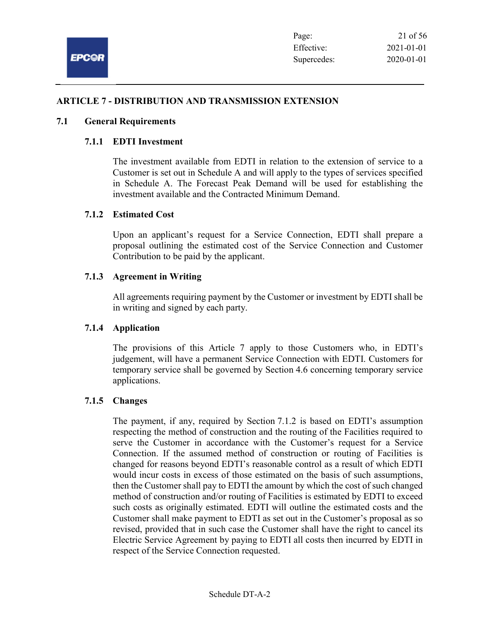

## ARTICLE 7 - DISTRIBUTION AND TRANSMISSION EXTENSION

#### 7.1 General Requirements

#### 7.1.1 EDTI Investment

The investment available from EDTI in relation to the extension of service to a Customer is set out in Schedule A and will apply to the types of services specified in Schedule A. The Forecast Peak Demand will be used for establishing the investment available and the Contracted Minimum Demand.

#### 7.1.2 Estimated Cost

Upon an applicant's request for a Service Connection, EDTI shall prepare a proposal outlining the estimated cost of the Service Connection and Customer Contribution to be paid by the applicant.

#### 7.1.3 Agreement in Writing

All agreements requiring payment by the Customer or investment by EDTI shall be in writing and signed by each party.

#### 7.1.4 Application

The provisions of this Article 7 apply to those Customers who, in EDTI's judgement, will have a permanent Service Connection with EDTI. Customers for temporary service shall be governed by Section 4.6 concerning temporary service applications.

#### 7.1.5 Changes

The payment, if any, required by Section 7.1.2 is based on EDTI's assumption respecting the method of construction and the routing of the Facilities required to serve the Customer in accordance with the Customer's request for a Service Connection. If the assumed method of construction or routing of Facilities is changed for reasons beyond EDTI's reasonable control as a result of which EDTI would incur costs in excess of those estimated on the basis of such assumptions, then the Customer shall pay to EDTI the amount by which the cost of such changed method of construction and/or routing of Facilities is estimated by EDTI to exceed such costs as originally estimated. EDTI will outline the estimated costs and the Customer shall make payment to EDTI as set out in the Customer's proposal as so revised, provided that in such case the Customer shall have the right to cancel its Electric Service Agreement by paying to EDTI all costs then incurred by EDTI in respect of the Service Connection requested.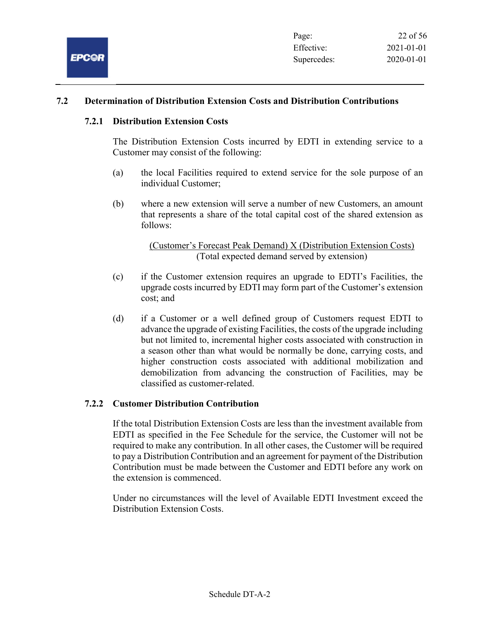

## 7.2 Determination of Distribution Extension Costs and Distribution Contributions

#### 7.2.1 Distribution Extension Costs

The Distribution Extension Costs incurred by EDTI in extending service to a Customer may consist of the following:

- (a) the local Facilities required to extend service for the sole purpose of an individual Customer;
- (b) where a new extension will serve a number of new Customers, an amount that represents a share of the total capital cost of the shared extension as follows:

(Customer's Forecast Peak Demand) X (Distribution Extension Costs) (Total expected demand served by extension)

- (c) if the Customer extension requires an upgrade to EDTI's Facilities, the upgrade costs incurred by EDTI may form part of the Customer's extension cost; and
- (d) if a Customer or a well defined group of Customers request EDTI to advance the upgrade of existing Facilities, the costs of the upgrade including but not limited to, incremental higher costs associated with construction in a season other than what would be normally be done, carrying costs, and higher construction costs associated with additional mobilization and demobilization from advancing the construction of Facilities, may be classified as customer-related.

#### 7.2.2 Customer Distribution Contribution

If the total Distribution Extension Costs are less than the investment available from EDTI as specified in the Fee Schedule for the service, the Customer will not be required to make any contribution. In all other cases, the Customer will be required to pay a Distribution Contribution and an agreement for payment of the Distribution Contribution must be made between the Customer and EDTI before any work on the extension is commenced.

Under no circumstances will the level of Available EDTI Investment exceed the Distribution Extension Costs.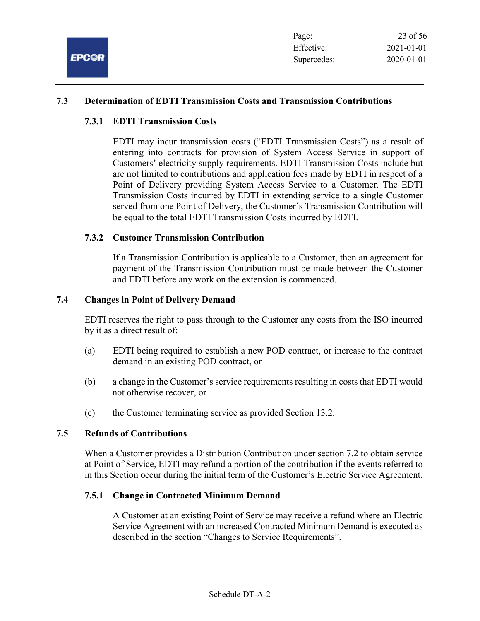

## 7.3 Determination of EDTI Transmission Costs and Transmission Contributions

### 7.3.1 EDTI Transmission Costs

EDTI may incur transmission costs ("EDTI Transmission Costs") as a result of entering into contracts for provision of System Access Service in support of Customers' electricity supply requirements. EDTI Transmission Costs include but are not limited to contributions and application fees made by EDTI in respect of a Point of Delivery providing System Access Service to a Customer. The EDTI Transmission Costs incurred by EDTI in extending service to a single Customer served from one Point of Delivery, the Customer's Transmission Contribution will be equal to the total EDTI Transmission Costs incurred by EDTI.

## 7.3.2 Customer Transmission Contribution

If a Transmission Contribution is applicable to a Customer, then an agreement for payment of the Transmission Contribution must be made between the Customer and EDTI before any work on the extension is commenced.

#### 7.4 Changes in Point of Delivery Demand

EDTI reserves the right to pass through to the Customer any costs from the ISO incurred by it as a direct result of:

- (a) EDTI being required to establish a new POD contract, or increase to the contract demand in an existing POD contract, or
- (b) a change in the Customer's service requirements resulting in costs that EDTI would not otherwise recover, or
- (c) the Customer terminating service as provided Section 13.2.

#### 7.5 Refunds of Contributions

When a Customer provides a Distribution Contribution under section 7.2 to obtain service at Point of Service, EDTI may refund a portion of the contribution if the events referred to in this Section occur during the initial term of the Customer's Electric Service Agreement.

#### 7.5.1 Change in Contracted Minimum Demand

A Customer at an existing Point of Service may receive a refund where an Electric Service Agreement with an increased Contracted Minimum Demand is executed as described in the section "Changes to Service Requirements".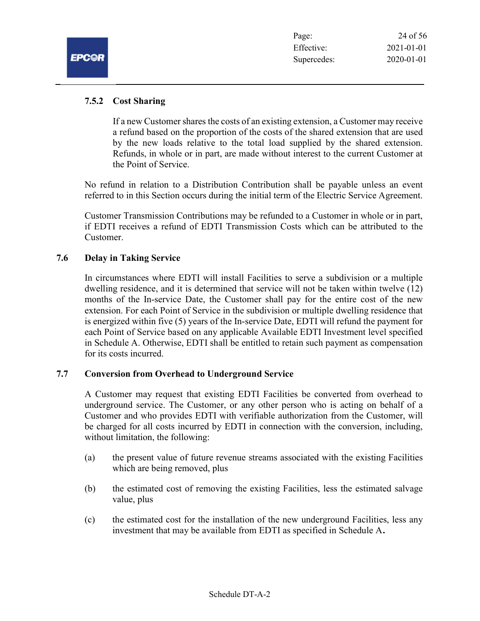## 7.5.2 Cost Sharing

If a new Customer shares the costs of an existing extension, a Customer may receive a refund based on the proportion of the costs of the shared extension that are used by the new loads relative to the total load supplied by the shared extension. Refunds, in whole or in part, are made without interest to the current Customer at the Point of Service.

No refund in relation to a Distribution Contribution shall be payable unless an event referred to in this Section occurs during the initial term of the Electric Service Agreement.

Customer Transmission Contributions may be refunded to a Customer in whole or in part, if EDTI receives a refund of EDTI Transmission Costs which can be attributed to the Customer.

#### 7.6 Delay in Taking Service

In circumstances where EDTI will install Facilities to serve a subdivision or a multiple dwelling residence, and it is determined that service will not be taken within twelve (12) months of the In-service Date, the Customer shall pay for the entire cost of the new extension. For each Point of Service in the subdivision or multiple dwelling residence that is energized within five (5) years of the In-service Date, EDTI will refund the payment for each Point of Service based on any applicable Available EDTI Investment level specified in Schedule A. Otherwise, EDTI shall be entitled to retain such payment as compensation for its costs incurred.

#### 7.7 Conversion from Overhead to Underground Service

A Customer may request that existing EDTI Facilities be converted from overhead to underground service. The Customer, or any other person who is acting on behalf of a Customer and who provides EDTI with verifiable authorization from the Customer, will be charged for all costs incurred by EDTI in connection with the conversion, including, without limitation, the following:

- (a) the present value of future revenue streams associated with the existing Facilities which are being removed, plus
- (b) the estimated cost of removing the existing Facilities, less the estimated salvage value, plus
- (c) the estimated cost for the installation of the new underground Facilities, less any investment that may be available from EDTI as specified in Schedule A.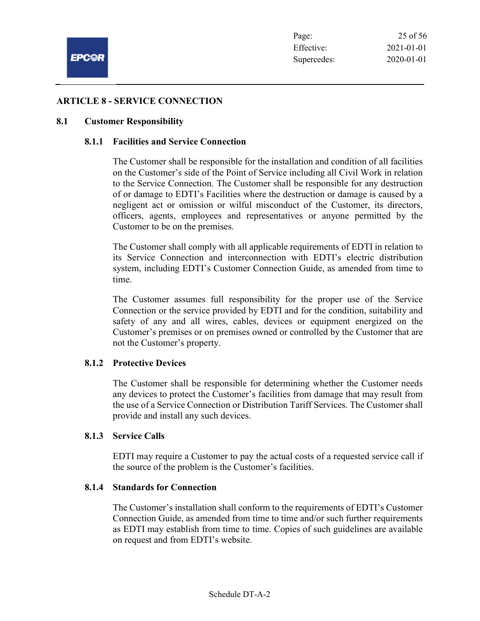### ARTICLE 8 - SERVICE CONNECTION

#### 8.1 Customer Responsibility

#### 8.1.1 Facilities and Service Connection

The Customer shall be responsible for the installation and condition of all facilities on the Customer's side of the Point of Service including all Civil Work in relation to the Service Connection. The Customer shall be responsible for any destruction of or damage to EDTI's Facilities where the destruction or damage is caused by a negligent act or omission or wilful misconduct of the Customer, its directors, officers, agents, employees and representatives or anyone permitted by the Customer to be on the premises.

The Customer shall comply with all applicable requirements of EDTI in relation to its Service Connection and interconnection with EDTI's electric distribution system, including EDTI's Customer Connection Guide, as amended from time to time.

The Customer assumes full responsibility for the proper use of the Service Connection or the service provided by EDTI and for the condition, suitability and safety of any and all wires, cables, devices or equipment energized on the Customer's premises or on premises owned or controlled by the Customer that are not the Customer's property.

#### 8.1.2 Protective Devices

The Customer shall be responsible for determining whether the Customer needs any devices to protect the Customer's facilities from damage that may result from the use of a Service Connection or Distribution Tariff Services. The Customer shall provide and install any such devices.

#### 8.1.3 Service Calls

EDTI may require a Customer to pay the actual costs of a requested service call if the source of the problem is the Customer's facilities.

#### 8.1.4 Standards for Connection

The Customer's installation shall conform to the requirements of EDTI's Customer Connection Guide, as amended from time to time and/or such further requirements as EDTI may establish from time to time. Copies of such guidelines are available on request and from EDTI's website.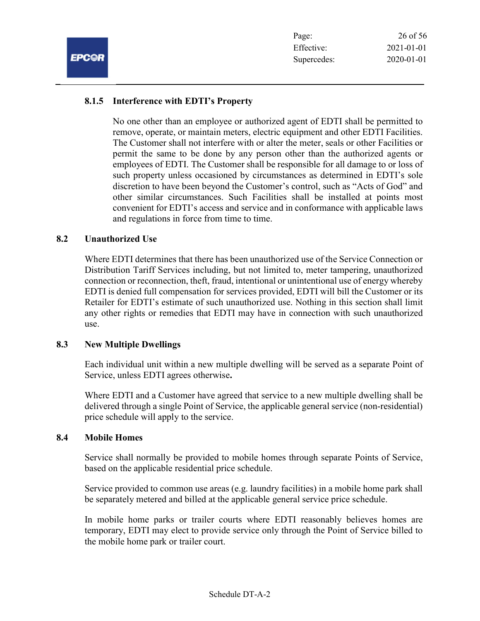## 8.1.5 Interference with EDTI's Property

No one other than an employee or authorized agent of EDTI shall be permitted to remove, operate, or maintain meters, electric equipment and other EDTI Facilities. The Customer shall not interfere with or alter the meter, seals or other Facilities or permit the same to be done by any person other than the authorized agents or employees of EDTI. The Customer shall be responsible for all damage to or loss of such property unless occasioned by circumstances as determined in EDTI's sole discretion to have been beyond the Customer's control, such as "Acts of God" and other similar circumstances. Such Facilities shall be installed at points most convenient for EDTI's access and service and in conformance with applicable laws and regulations in force from time to time.

#### 8.2 Unauthorized Use

Where EDTI determines that there has been unauthorized use of the Service Connection or Distribution Tariff Services including, but not limited to, meter tampering, unauthorized connection or reconnection, theft, fraud, intentional or unintentional use of energy whereby EDTI is denied full compensation for services provided, EDTI will bill the Customer or its Retailer for EDTI's estimate of such unauthorized use. Nothing in this section shall limit any other rights or remedies that EDTI may have in connection with such unauthorized use.

#### 8.3 New Multiple Dwellings

Each individual unit within a new multiple dwelling will be served as a separate Point of Service, unless EDTI agrees otherwise.

Where EDTI and a Customer have agreed that service to a new multiple dwelling shall be delivered through a single Point of Service, the applicable general service (non-residential) price schedule will apply to the service.

#### 8.4 Mobile Homes

Service shall normally be provided to mobile homes through separate Points of Service, based on the applicable residential price schedule.

Service provided to common use areas (e.g. laundry facilities) in a mobile home park shall be separately metered and billed at the applicable general service price schedule.

In mobile home parks or trailer courts where EDTI reasonably believes homes are temporary, EDTI may elect to provide service only through the Point of Service billed to the mobile home park or trailer court.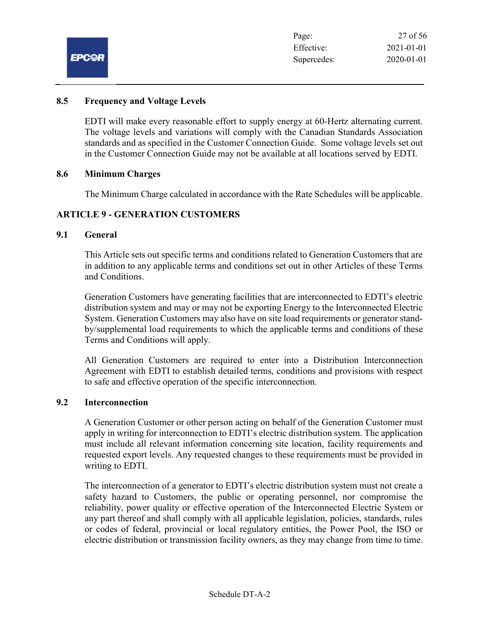

#### 8.5 Frequency and Voltage Levels

EDTI will make every reasonable effort to supply energy at 60-Hertz alternating current. The voltage levels and variations will comply with the Canadian Standards Association standards and as specified in the Customer Connection Guide. Some voltage levels set out in the Customer Connection Guide may not be available at all locations served by EDTI.

#### 8.6 Minimum Charges

The Minimum Charge calculated in accordance with the Rate Schedules will be applicable.

#### ARTICLE 9 - GENERATION CUSTOMERS

#### 9.1 General

This Article sets out specific terms and conditions related to Generation Customers that are in addition to any applicable terms and conditions set out in other Articles of these Terms and Conditions.

Generation Customers have generating facilities that are interconnected to EDTI's electric distribution system and may or may not be exporting Energy to the Interconnected Electric System. Generation Customers may also have on site load requirements or generator standby/supplemental load requirements to which the applicable terms and conditions of these Terms and Conditions will apply.

All Generation Customers are required to enter into a Distribution Interconnection Agreement with EDTI to establish detailed terms, conditions and provisions with respect to safe and effective operation of the specific interconnection.

#### 9.2 Interconnection

A Generation Customer or other person acting on behalf of the Generation Customer must apply in writing for interconnection to EDTI's electric distribution system. The application must include all relevant information concerning site location, facility requirements and requested export levels. Any requested changes to these requirements must be provided in writing to EDTI.

The interconnection of a generator to EDTI's electric distribution system must not create a safety hazard to Customers, the public or operating personnel, nor compromise the reliability, power quality or effective operation of the Interconnected Electric System or any part thereof and shall comply with all applicable legislation, policies, standards, rules or codes of federal, provincial or local regulatory entities, the Power Pool, the ISO or electric distribution or transmission facility owners, as they may change from time to time.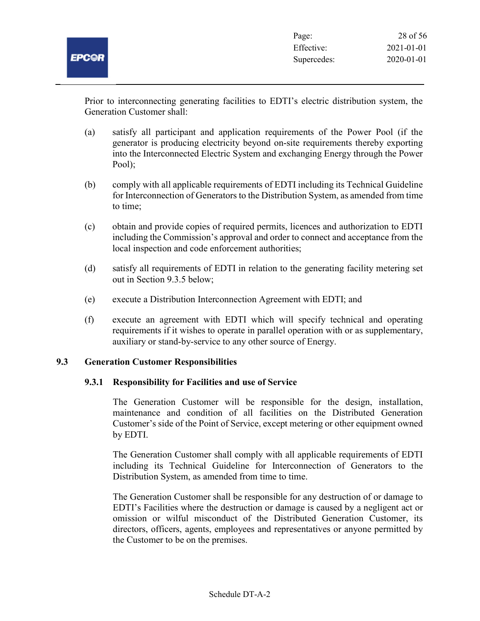

Prior to interconnecting generating facilities to EDTI's electric distribution system, the Generation Customer shall:

- (a) satisfy all participant and application requirements of the Power Pool (if the generator is producing electricity beyond on-site requirements thereby exporting into the Interconnected Electric System and exchanging Energy through the Power Pool);
- (b) comply with all applicable requirements of EDTI including its Technical Guideline for Interconnection of Generators to the Distribution System, as amended from time to time;
- (c) obtain and provide copies of required permits, licences and authorization to EDTI including the Commission's approval and order to connect and acceptance from the local inspection and code enforcement authorities;
- (d) satisfy all requirements of EDTI in relation to the generating facility metering set out in Section 9.3.5 below;
- (e) execute a Distribution Interconnection Agreement with EDTI; and
- (f) execute an agreement with EDTI which will specify technical and operating requirements if it wishes to operate in parallel operation with or as supplementary, auxiliary or stand-by-service to any other source of Energy.

#### 9.3 Generation Customer Responsibilities

#### 9.3.1 Responsibility for Facilities and use of Service

The Generation Customer will be responsible for the design, installation, maintenance and condition of all facilities on the Distributed Generation Customer's side of the Point of Service, except metering or other equipment owned by EDTI.

The Generation Customer shall comply with all applicable requirements of EDTI including its Technical Guideline for Interconnection of Generators to the Distribution System, as amended from time to time.

The Generation Customer shall be responsible for any destruction of or damage to EDTI's Facilities where the destruction or damage is caused by a negligent act or omission or wilful misconduct of the Distributed Generation Customer, its directors, officers, agents, employees and representatives or anyone permitted by the Customer to be on the premises.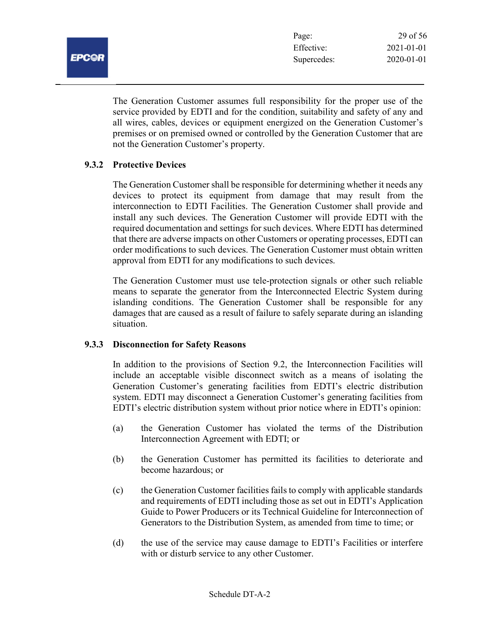The Generation Customer assumes full responsibility for the proper use of the service provided by EDTI and for the condition, suitability and safety of any and all wires, cables, devices or equipment energized on the Generation Customer's premises or on premised owned or controlled by the Generation Customer that are not the Generation Customer's property.

## 9.3.2 Protective Devices

The Generation Customer shall be responsible for determining whether it needs any devices to protect its equipment from damage that may result from the interconnection to EDTI Facilities. The Generation Customer shall provide and install any such devices. The Generation Customer will provide EDTI with the required documentation and settings for such devices. Where EDTI has determined that there are adverse impacts on other Customers or operating processes, EDTI can order modifications to such devices. The Generation Customer must obtain written approval from EDTI for any modifications to such devices.

The Generation Customer must use tele-protection signals or other such reliable means to separate the generator from the Interconnected Electric System during islanding conditions. The Generation Customer shall be responsible for any damages that are caused as a result of failure to safely separate during an islanding situation.

#### 9.3.3 Disconnection for Safety Reasons

In addition to the provisions of Section 9.2, the Interconnection Facilities will include an acceptable visible disconnect switch as a means of isolating the Generation Customer's generating facilities from EDTI's electric distribution system. EDTI may disconnect a Generation Customer's generating facilities from EDTI's electric distribution system without prior notice where in EDTI's opinion:

- (a) the Generation Customer has violated the terms of the Distribution Interconnection Agreement with EDTI; or
- (b) the Generation Customer has permitted its facilities to deteriorate and become hazardous; or
- (c) the Generation Customer facilities fails to comply with applicable standards and requirements of EDTI including those as set out in EDTI's Application Guide to Power Producers or its Technical Guideline for Interconnection of Generators to the Distribution System, as amended from time to time; or
- (d) the use of the service may cause damage to EDTI's Facilities or interfere with or disturb service to any other Customer.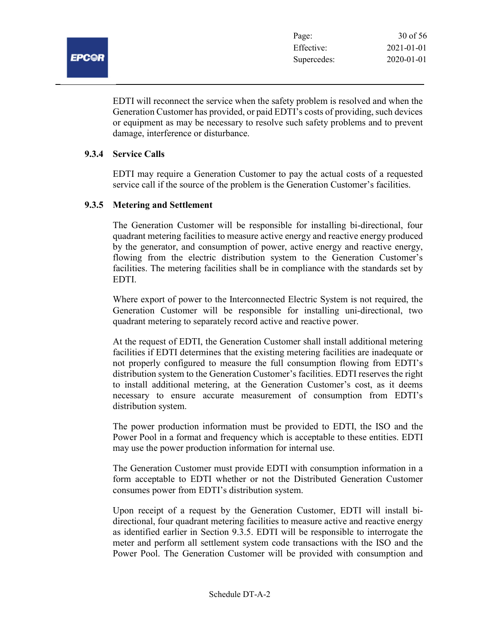EDTI will reconnect the service when the safety problem is resolved and when the Generation Customer has provided, or paid EDTI's costs of providing, such devices or equipment as may be necessary to resolve such safety problems and to prevent damage, interference or disturbance.

#### 9.3.4 Service Calls

EDTI may require a Generation Customer to pay the actual costs of a requested service call if the source of the problem is the Generation Customer's facilities.

#### 9.3.5 Metering and Settlement

The Generation Customer will be responsible for installing bi-directional, four quadrant metering facilities to measure active energy and reactive energy produced by the generator, and consumption of power, active energy and reactive energy, flowing from the electric distribution system to the Generation Customer's facilities. The metering facilities shall be in compliance with the standards set by EDTI.

Where export of power to the Interconnected Electric System is not required, the Generation Customer will be responsible for installing uni-directional, two quadrant metering to separately record active and reactive power.

At the request of EDTI, the Generation Customer shall install additional metering facilities if EDTI determines that the existing metering facilities are inadequate or not properly configured to measure the full consumption flowing from EDTI's distribution system to the Generation Customer's facilities. EDTI reserves the right to install additional metering, at the Generation Customer's cost, as it deems necessary to ensure accurate measurement of consumption from EDTI's distribution system.

The power production information must be provided to EDTI, the ISO and the Power Pool in a format and frequency which is acceptable to these entities. EDTI may use the power production information for internal use.

The Generation Customer must provide EDTI with consumption information in a form acceptable to EDTI whether or not the Distributed Generation Customer consumes power from EDTI's distribution system.

Upon receipt of a request by the Generation Customer, EDTI will install bidirectional, four quadrant metering facilities to measure active and reactive energy as identified earlier in Section 9.3.5. EDTI will be responsible to interrogate the meter and perform all settlement system code transactions with the ISO and the Power Pool. The Generation Customer will be provided with consumption and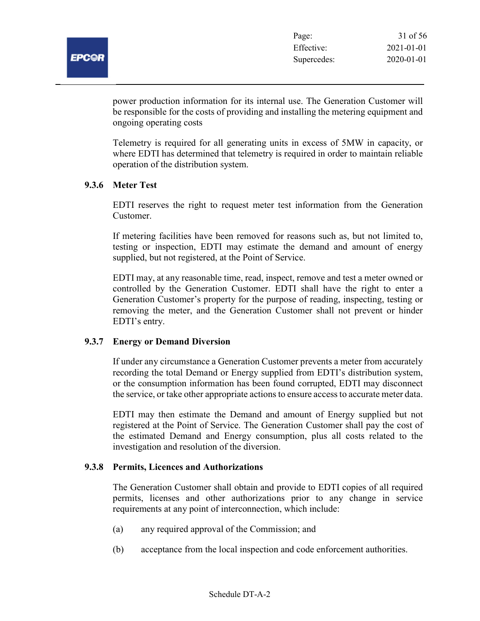

power production information for its internal use. The Generation Customer will be responsible for the costs of providing and installing the metering equipment and ongoing operating costs

Telemetry is required for all generating units in excess of 5MW in capacity, or where EDTI has determined that telemetry is required in order to maintain reliable operation of the distribution system.

## 9.3.6 Meter Test

EDTI reserves the right to request meter test information from the Generation Customer.

If metering facilities have been removed for reasons such as, but not limited to, testing or inspection, EDTI may estimate the demand and amount of energy supplied, but not registered, at the Point of Service.

EDTI may, at any reasonable time, read, inspect, remove and test a meter owned or controlled by the Generation Customer. EDTI shall have the right to enter a Generation Customer's property for the purpose of reading, inspecting, testing or removing the meter, and the Generation Customer shall not prevent or hinder EDTI's entry.

#### 9.3.7 Energy or Demand Diversion

If under any circumstance a Generation Customer prevents a meter from accurately recording the total Demand or Energy supplied from EDTI's distribution system, or the consumption information has been found corrupted, EDTI may disconnect the service, or take other appropriate actions to ensure access to accurate meter data.

EDTI may then estimate the Demand and amount of Energy supplied but not registered at the Point of Service. The Generation Customer shall pay the cost of the estimated Demand and Energy consumption, plus all costs related to the investigation and resolution of the diversion.

#### 9.3.8 Permits, Licences and Authorizations

The Generation Customer shall obtain and provide to EDTI copies of all required permits, licenses and other authorizations prior to any change in service requirements at any point of interconnection, which include:

- (a) any required approval of the Commission; and
- (b) acceptance from the local inspection and code enforcement authorities.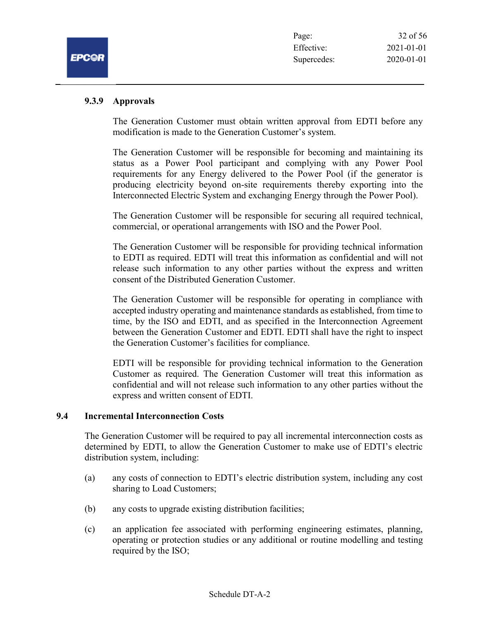### 9.3.9 Approvals

The Generation Customer must obtain written approval from EDTI before any modification is made to the Generation Customer's system.

The Generation Customer will be responsible for becoming and maintaining its status as a Power Pool participant and complying with any Power Pool requirements for any Energy delivered to the Power Pool (if the generator is producing electricity beyond on-site requirements thereby exporting into the Interconnected Electric System and exchanging Energy through the Power Pool).

The Generation Customer will be responsible for securing all required technical, commercial, or operational arrangements with ISO and the Power Pool.

The Generation Customer will be responsible for providing technical information to EDTI as required. EDTI will treat this information as confidential and will not release such information to any other parties without the express and written consent of the Distributed Generation Customer.

The Generation Customer will be responsible for operating in compliance with accepted industry operating and maintenance standards as established, from time to time, by the ISO and EDTI, and as specified in the Interconnection Agreement between the Generation Customer and EDTI. EDTI shall have the right to inspect the Generation Customer's facilities for compliance.

EDTI will be responsible for providing technical information to the Generation Customer as required. The Generation Customer will treat this information as confidential and will not release such information to any other parties without the express and written consent of EDTI.

#### 9.4 Incremental Interconnection Costs

The Generation Customer will be required to pay all incremental interconnection costs as determined by EDTI, to allow the Generation Customer to make use of EDTI's electric distribution system, including:

- (a) any costs of connection to EDTI's electric distribution system, including any cost sharing to Load Customers;
- (b) any costs to upgrade existing distribution facilities;
- (c) an application fee associated with performing engineering estimates, planning, operating or protection studies or any additional or routine modelling and testing required by the ISO;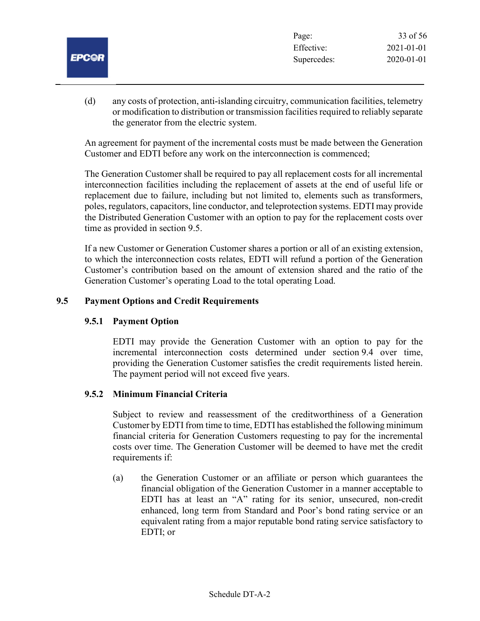| . .<br>-- |  |
|-----------|--|
|           |  |

(d) any costs of protection, anti-islanding circuitry, communication facilities, telemetry or modification to distribution or transmission facilities required to reliably separate the generator from the electric system.

An agreement for payment of the incremental costs must be made between the Generation Customer and EDTI before any work on the interconnection is commenced;

The Generation Customer shall be required to pay all replacement costs for all incremental interconnection facilities including the replacement of assets at the end of useful life or replacement due to failure, including but not limited to, elements such as transformers, poles, regulators, capacitors, line conductor, and teleprotection systems. EDTI may provide the Distributed Generation Customer with an option to pay for the replacement costs over time as provided in section 9.5.

If a new Customer or Generation Customer shares a portion or all of an existing extension, to which the interconnection costs relates, EDTI will refund a portion of the Generation Customer's contribution based on the amount of extension shared and the ratio of the Generation Customer's operating Load to the total operating Load.

## 9.5 Payment Options and Credit Requirements

#### 9.5.1 Payment Option

EDTI may provide the Generation Customer with an option to pay for the incremental interconnection costs determined under section 9.4 over time, providing the Generation Customer satisfies the credit requirements listed herein. The payment period will not exceed five years.

#### 9.5.2 Minimum Financial Criteria

Subject to review and reassessment of the creditworthiness of a Generation Customer by EDTI from time to time, EDTI has established the following minimum financial criteria for Generation Customers requesting to pay for the incremental costs over time. The Generation Customer will be deemed to have met the credit requirements if:

(a) the Generation Customer or an affiliate or person which guarantees the financial obligation of the Generation Customer in a manner acceptable to EDTI has at least an "A" rating for its senior, unsecured, non-credit enhanced, long term from Standard and Poor's bond rating service or an equivalent rating from a major reputable bond rating service satisfactory to EDTI; or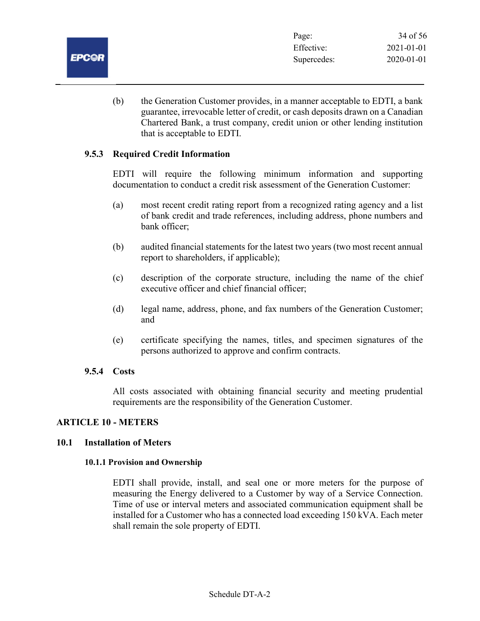

(b) the Generation Customer provides, in a manner acceptable to EDTI, a bank guarantee, irrevocable letter of credit, or cash deposits drawn on a Canadian Chartered Bank, a trust company, credit union or other lending institution that is acceptable to EDTI.

## 9.5.3 Required Credit Information

EDTI will require the following minimum information and supporting documentation to conduct a credit risk assessment of the Generation Customer:

- (a) most recent credit rating report from a recognized rating agency and a list of bank credit and trade references, including address, phone numbers and bank officer;
- (b) audited financial statements for the latest two years (two most recent annual report to shareholders, if applicable);
- (c) description of the corporate structure, including the name of the chief executive officer and chief financial officer;
- (d) legal name, address, phone, and fax numbers of the Generation Customer; and
- (e) certificate specifying the names, titles, and specimen signatures of the persons authorized to approve and confirm contracts.

#### 9.5.4 Costs

All costs associated with obtaining financial security and meeting prudential requirements are the responsibility of the Generation Customer.

## ARTICLE 10 - METERS

#### 10.1 Installation of Meters

#### 10.1.1 Provision and Ownership

EDTI shall provide, install, and seal one or more meters for the purpose of measuring the Energy delivered to a Customer by way of a Service Connection. Time of use or interval meters and associated communication equipment shall be installed for a Customer who has a connected load exceeding 150 kVA. Each meter shall remain the sole property of EDTI.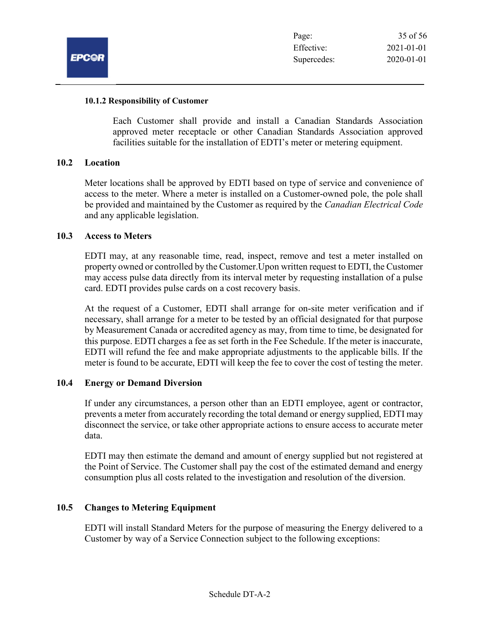

#### 10.1.2 Responsibility of Customer

Each Customer shall provide and install a Canadian Standards Association approved meter receptacle or other Canadian Standards Association approved facilities suitable for the installation of EDTI's meter or metering equipment.

#### 10.2 Location

Meter locations shall be approved by EDTI based on type of service and convenience of access to the meter. Where a meter is installed on a Customer-owned pole, the pole shall be provided and maintained by the Customer as required by the *Canadian Electrical Code* and any applicable legislation.

#### 10.3 Access to Meters

EDTI may, at any reasonable time, read, inspect, remove and test a meter installed on property owned or controlled by the Customer.Upon written request to EDTI, the Customer may access pulse data directly from its interval meter by requesting installation of a pulse card. EDTI provides pulse cards on a cost recovery basis.

At the request of a Customer, EDTI shall arrange for on-site meter verification and if necessary, shall arrange for a meter to be tested by an official designated for that purpose by Measurement Canada or accredited agency as may, from time to time, be designated for this purpose. EDTI charges a fee as set forth in the Fee Schedule. If the meter is inaccurate, EDTI will refund the fee and make appropriate adjustments to the applicable bills. If the meter is found to be accurate, EDTI will keep the fee to cover the cost of testing the meter.

#### 10.4 Energy or Demand Diversion

If under any circumstances, a person other than an EDTI employee, agent or contractor, prevents a meter from accurately recording the total demand or energy supplied, EDTI may disconnect the service, or take other appropriate actions to ensure access to accurate meter data.

EDTI may then estimate the demand and amount of energy supplied but not registered at the Point of Service. The Customer shall pay the cost of the estimated demand and energy consumption plus all costs related to the investigation and resolution of the diversion.

#### 10.5 Changes to Metering Equipment

EDTI will install Standard Meters for the purpose of measuring the Energy delivered to a Customer by way of a Service Connection subject to the following exceptions: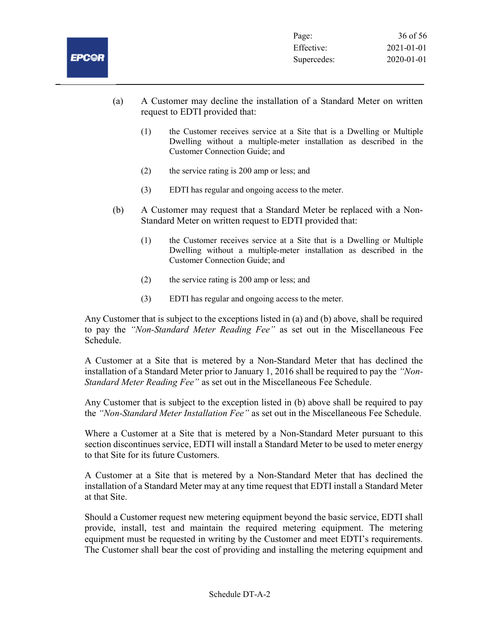- (a) A Customer may decline the installation of a Standard Meter on written request to EDTI provided that:
	- (1) the Customer receives service at a Site that is a Dwelling or Multiple Dwelling without a multiple-meter installation as described in the Customer Connection Guide; and
	- (2) the service rating is 200 amp or less; and
	- (3) EDTI has regular and ongoing access to the meter.
- (b) A Customer may request that a Standard Meter be replaced with a Non-Standard Meter on written request to EDTI provided that:
	- (1) the Customer receives service at a Site that is a Dwelling or Multiple Dwelling without a multiple-meter installation as described in the Customer Connection Guide; and
	- (2) the service rating is 200 amp or less; and
	- (3) EDTI has regular and ongoing access to the meter.

Any Customer that is subject to the exceptions listed in (a) and (b) above, shall be required to pay the "Non-Standard Meter Reading Fee" as set out in the Miscellaneous Fee Schedule.

A Customer at a Site that is metered by a Non-Standard Meter that has declined the installation of a Standard Meter prior to January 1, 2016 shall be required to pay the "Non-Standard Meter Reading Fee" as set out in the Miscellaneous Fee Schedule.

Any Customer that is subject to the exception listed in (b) above shall be required to pay the "Non-Standard Meter Installation Fee" as set out in the Miscellaneous Fee Schedule.

Where a Customer at a Site that is metered by a Non-Standard Meter pursuant to this section discontinues service, EDTI will install a Standard Meter to be used to meter energy to that Site for its future Customers.

A Customer at a Site that is metered by a Non-Standard Meter that has declined the installation of a Standard Meter may at any time request that EDTI install a Standard Meter at that Site.

Should a Customer request new metering equipment beyond the basic service, EDTI shall provide, install, test and maintain the required metering equipment. The metering equipment must be requested in writing by the Customer and meet EDTI's requirements. The Customer shall bear the cost of providing and installing the metering equipment and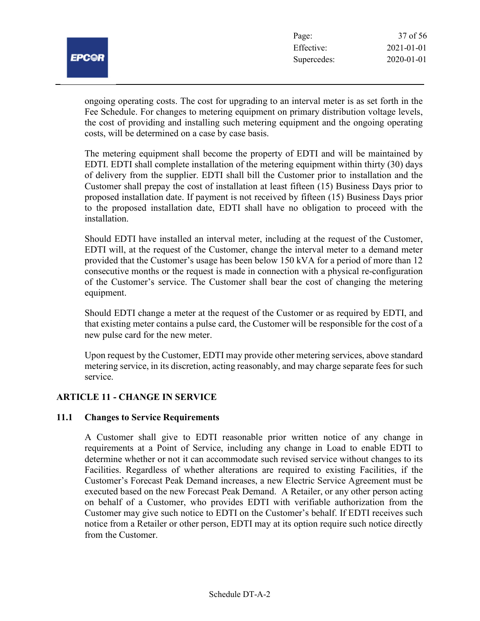|             | r age.      |
|-------------|-------------|
|             | Effective:  |
| <b>PC@R</b> | Supercedes: |
|             |             |

Page: 37 of 56 Effective: 2021-01-01 2020-01-01

ongoing operating costs. The cost for upgrading to an interval meter is as set forth in the Fee Schedule. For changes to metering equipment on primary distribution voltage levels, the cost of providing and installing such metering equipment and the ongoing operating costs, will be determined on a case by case basis.

The metering equipment shall become the property of EDTI and will be maintained by EDTI. EDTI shall complete installation of the metering equipment within thirty (30) days of delivery from the supplier. EDTI shall bill the Customer prior to installation and the Customer shall prepay the cost of installation at least fifteen (15) Business Days prior to proposed installation date. If payment is not received by fifteen (15) Business Days prior to the proposed installation date, EDTI shall have no obligation to proceed with the installation.

Should EDTI have installed an interval meter, including at the request of the Customer, EDTI will, at the request of the Customer, change the interval meter to a demand meter provided that the Customer's usage has been below 150 kVA for a period of more than 12 consecutive months or the request is made in connection with a physical re-configuration of the Customer's service. The Customer shall bear the cost of changing the metering equipment.

Should EDTI change a meter at the request of the Customer or as required by EDTI, and that existing meter contains a pulse card, the Customer will be responsible for the cost of a new pulse card for the new meter.

Upon request by the Customer, EDTI may provide other metering services, above standard metering service, in its discretion, acting reasonably, and may charge separate fees for such service.

## ARTICLE 11 - CHANGE IN SERVICE

#### 11.1 Changes to Service Requirements

A Customer shall give to EDTI reasonable prior written notice of any change in requirements at a Point of Service, including any change in Load to enable EDTI to determine whether or not it can accommodate such revised service without changes to its Facilities. Regardless of whether alterations are required to existing Facilities, if the Customer's Forecast Peak Demand increases, a new Electric Service Agreement must be executed based on the new Forecast Peak Demand. A Retailer, or any other person acting on behalf of a Customer, who provides EDTI with verifiable authorization from the Customer may give such notice to EDTI on the Customer's behalf. If EDTI receives such notice from a Retailer or other person, EDTI may at its option require such notice directly from the Customer.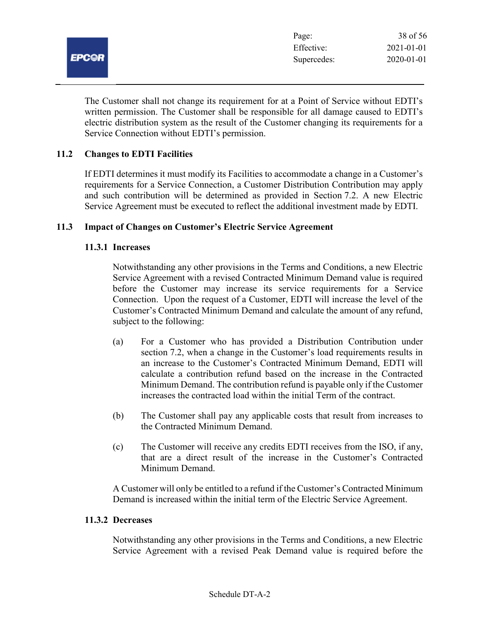

The Customer shall not change its requirement for at a Point of Service without EDTI's written permission. The Customer shall be responsible for all damage caused to EDTI's electric distribution system as the result of the Customer changing its requirements for a Service Connection without EDTI's permission.

## 11.2 Changes to EDTI Facilities

If EDTI determines it must modify its Facilities to accommodate a change in a Customer's requirements for a Service Connection, a Customer Distribution Contribution may apply and such contribution will be determined as provided in Section 7.2. A new Electric Service Agreement must be executed to reflect the additional investment made by EDTI.

#### 11.3 Impact of Changes on Customer's Electric Service Agreement

## 11.3.1 Increases

Notwithstanding any other provisions in the Terms and Conditions, a new Electric Service Agreement with a revised Contracted Minimum Demand value is required before the Customer may increase its service requirements for a Service Connection. Upon the request of a Customer, EDTI will increase the level of the Customer's Contracted Minimum Demand and calculate the amount of any refund, subject to the following:

- (a) For a Customer who has provided a Distribution Contribution under section 7.2, when a change in the Customer's load requirements results in an increase to the Customer's Contracted Minimum Demand, EDTI will calculate a contribution refund based on the increase in the Contracted Minimum Demand. The contribution refund is payable only if the Customer increases the contracted load within the initial Term of the contract.
- (b) The Customer shall pay any applicable costs that result from increases to the Contracted Minimum Demand.
- (c) The Customer will receive any credits EDTI receives from the ISO, if any, that are a direct result of the increase in the Customer's Contracted Minimum Demand.

A Customer will only be entitled to a refund if the Customer's Contracted Minimum Demand is increased within the initial term of the Electric Service Agreement.

## 11.3.2 Decreases

Notwithstanding any other provisions in the Terms and Conditions, a new Electric Service Agreement with a revised Peak Demand value is required before the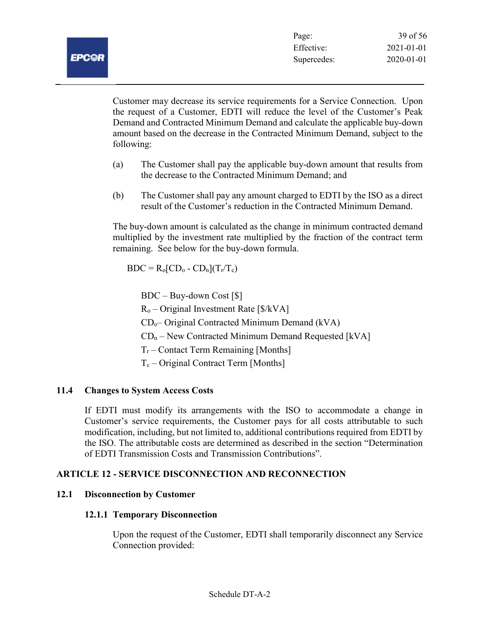Customer may decrease its service requirements for a Service Connection. Upon the request of a Customer, EDTI will reduce the level of the Customer's Peak Demand and Contracted Minimum Demand and calculate the applicable buy-down amount based on the decrease in the Contracted Minimum Demand, subject to the following:

- (a) The Customer shall pay the applicable buy-down amount that results from the decrease to the Contracted Minimum Demand; and
- (b) The Customer shall pay any amount charged to EDTI by the ISO as a direct result of the Customer's reduction in the Contracted Minimum Demand.

The buy-down amount is calculated as the change in minimum contracted demand multiplied by the investment rate multiplied by the fraction of the contract term remaining. See below for the buy-down formula.

 $BDC = R_0 [CD_0 - CD_n](T_r/T_c)$ 

BDC – Buy-down Cost [\$]

 $R_0$  – Original Investment Rate [ $\frac{1}{8}$ /kVA]

 $CD<sub>o</sub>$  - Original Contracted Minimum Demand (kVA)

 $CD_n$  – New Contracted Minimum Demand Requested [kVA]

 $T_r$  – Contact Term Remaining [Months]

 $T_c$  – Original Contract Term [Months]

## 11.4 Changes to System Access Costs

If EDTI must modify its arrangements with the ISO to accommodate a change in Customer's service requirements, the Customer pays for all costs attributable to such modification, including, but not limited to, additional contributions required from EDTI by the ISO. The attributable costs are determined as described in the section "Determination of EDTI Transmission Costs and Transmission Contributions".

## ARTICLE 12 - SERVICE DISCONNECTION AND RECONNECTION

#### 12.1 Disconnection by Customer

#### 12.1.1 Temporary Disconnection

Upon the request of the Customer, EDTI shall temporarily disconnect any Service Connection provided: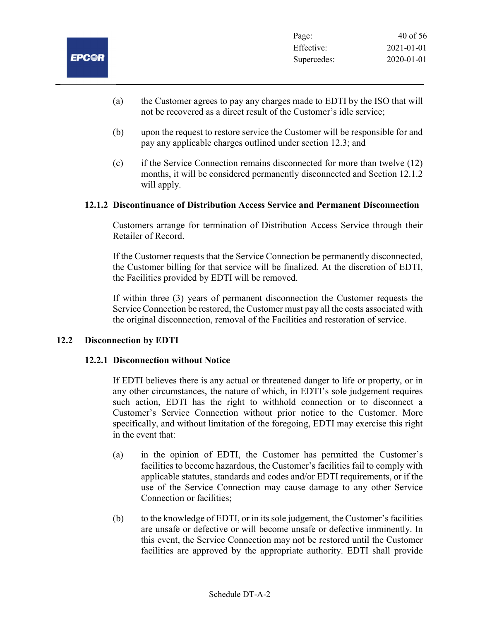- (a) the Customer agrees to pay any charges made to EDTI by the ISO that will not be recovered as a direct result of the Customer's idle service;
- (b) upon the request to restore service the Customer will be responsible for and pay any applicable charges outlined under section 12.3; and
- (c) if the Service Connection remains disconnected for more than twelve (12) months, it will be considered permanently disconnected and Section 12.1.2 will apply.

#### 12.1.2 Discontinuance of Distribution Access Service and Permanent Disconnection

Customers arrange for termination of Distribution Access Service through their Retailer of Record.

If the Customer requests that the Service Connection be permanently disconnected, the Customer billing for that service will be finalized. At the discretion of EDTI, the Facilities provided by EDTI will be removed.

If within three (3) years of permanent disconnection the Customer requests the Service Connection be restored, the Customer must pay all the costs associated with the original disconnection, removal of the Facilities and restoration of service.

#### 12.2 Disconnection by EDTI

#### 12.2.1 Disconnection without Notice

If EDTI believes there is any actual or threatened danger to life or property, or in any other circumstances, the nature of which, in EDTI's sole judgement requires such action, EDTI has the right to withhold connection or to disconnect a Customer's Service Connection without prior notice to the Customer. More specifically, and without limitation of the foregoing, EDTI may exercise this right in the event that:

- (a) in the opinion of EDTI, the Customer has permitted the Customer's facilities to become hazardous, the Customer's facilities fail to comply with applicable statutes, standards and codes and/or EDTI requirements, or if the use of the Service Connection may cause damage to any other Service Connection or facilities;
- (b) to the knowledge of EDTI, or in its sole judgement, the Customer's facilities are unsafe or defective or will become unsafe or defective imminently. In this event, the Service Connection may not be restored until the Customer facilities are approved by the appropriate authority. EDTI shall provide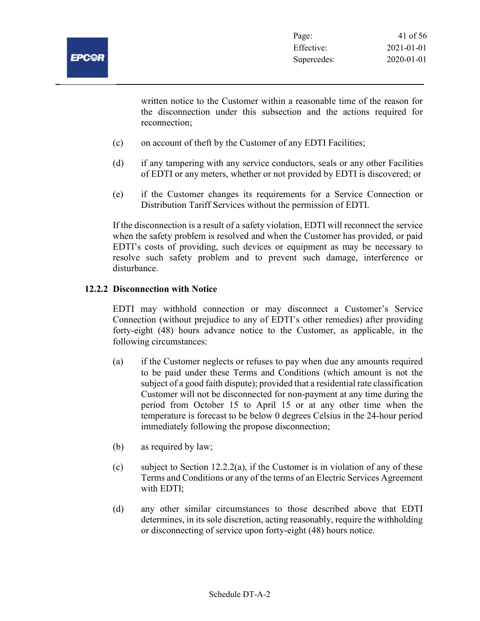

written notice to the Customer within a reasonable time of the reason for the disconnection under this subsection and the actions required for reconnection;

- (c) on account of theft by the Customer of any EDTI Facilities;
- (d) if any tampering with any service conductors, seals or any other Facilities of EDTI or any meters, whether or not provided by EDTI is discovered; or
- (e) if the Customer changes its requirements for a Service Connection or Distribution Tariff Services without the permission of EDTI.

If the disconnection is a result of a safety violation, EDTI will reconnect the service when the safety problem is resolved and when the Customer has provided, or paid EDTI's costs of providing, such devices or equipment as may be necessary to resolve such safety problem and to prevent such damage, interference or disturbance.

#### 12.2.2 Disconnection with Notice

EDTI may withhold connection or may disconnect a Customer's Service Connection (without prejudice to any of EDTI's other remedies) after providing forty-eight (48) hours advance notice to the Customer, as applicable, in the following circumstances:

- (a) if the Customer neglects or refuses to pay when due any amounts required to be paid under these Terms and Conditions (which amount is not the subject of a good faith dispute); provided that a residential rate classification Customer will not be disconnected for non-payment at any time during the period from October 15 to April 15 or at any other time when the temperature is forecast to be below 0 degrees Celsius in the 24-hour period immediately following the propose disconnection;
- (b) as required by law;
- (c) subject to Section 12.2.2(a), if the Customer is in violation of any of these Terms and Conditions or any of the terms of an Electric Services Agreement with EDTI;
- (d) any other similar circumstances to those described above that EDTI determines, in its sole discretion, acting reasonably, require the withholding or disconnecting of service upon forty-eight (48) hours notice.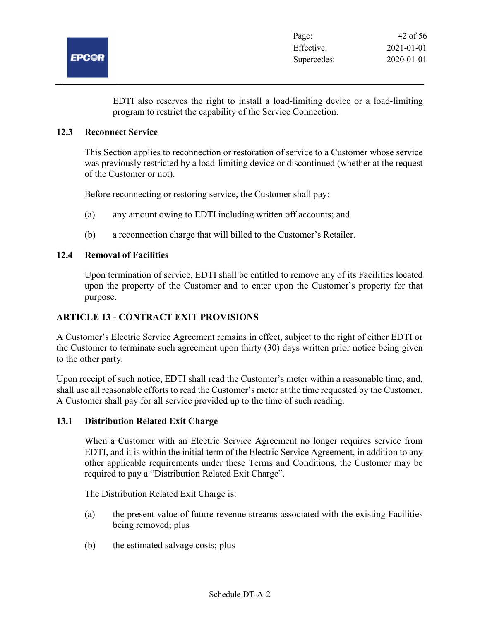

EDTI also reserves the right to install a load-limiting device or a load-limiting program to restrict the capability of the Service Connection.

#### 12.3 Reconnect Service

This Section applies to reconnection or restoration of service to a Customer whose service was previously restricted by a load-limiting device or discontinued (whether at the request of the Customer or not).

Before reconnecting or restoring service, the Customer shall pay:

- (a) any amount owing to EDTI including written off accounts; and
- (b) a reconnection charge that will billed to the Customer's Retailer.

#### 12.4 Removal of Facilities

Upon termination of service, EDTI shall be entitled to remove any of its Facilities located upon the property of the Customer and to enter upon the Customer's property for that purpose.

#### ARTICLE 13 - CONTRACT EXIT PROVISIONS

A Customer's Electric Service Agreement remains in effect, subject to the right of either EDTI or the Customer to terminate such agreement upon thirty (30) days written prior notice being given to the other party.

Upon receipt of such notice, EDTI shall read the Customer's meter within a reasonable time, and, shall use all reasonable efforts to read the Customer's meter at the time requested by the Customer. A Customer shall pay for all service provided up to the time of such reading.

#### 13.1 Distribution Related Exit Charge

When a Customer with an Electric Service Agreement no longer requires service from EDTI, and it is within the initial term of the Electric Service Agreement, in addition to any other applicable requirements under these Terms and Conditions, the Customer may be required to pay a "Distribution Related Exit Charge".

The Distribution Related Exit Charge is:

- (a) the present value of future revenue streams associated with the existing Facilities being removed; plus
- (b) the estimated salvage costs; plus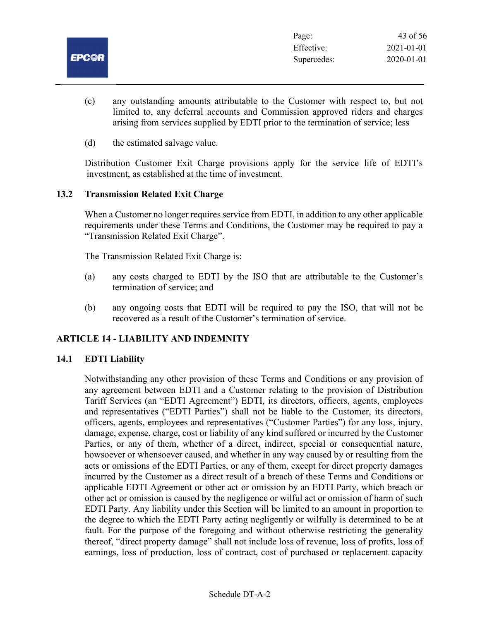|              | Page:       | 43 of 56   |
|--------------|-------------|------------|
|              | Effective:  | 2021-01-01 |
| <b>EPC@R</b> | Supercedes: | 2020-01-01 |
|              |             |            |

- (c) any outstanding amounts attributable to the Customer with respect to, but not limited to, any deferral accounts and Commission approved riders and charges arising from services supplied by EDTI prior to the termination of service; less
- (d) the estimated salvage value.

Distribution Customer Exit Charge provisions apply for the service life of EDTI's investment, as established at the time of investment.

#### 13.2 Transmission Related Exit Charge

When a Customer no longer requires service from EDTI, in addition to any other applicable requirements under these Terms and Conditions, the Customer may be required to pay a "Transmission Related Exit Charge".

The Transmission Related Exit Charge is:

- (a) any costs charged to EDTI by the ISO that are attributable to the Customer's termination of service; and
- (b) any ongoing costs that EDTI will be required to pay the ISO, that will not be recovered as a result of the Customer's termination of service.

#### ARTICLE 14 - LIABILITY AND INDEMNITY

#### 14.1 EDTI Liability

Notwithstanding any other provision of these Terms and Conditions or any provision of any agreement between EDTI and a Customer relating to the provision of Distribution Tariff Services (an "EDTI Agreement") EDTI, its directors, officers, agents, employees and representatives ("EDTI Parties") shall not be liable to the Customer, its directors, officers, agents, employees and representatives ("Customer Parties") for any loss, injury, damage, expense, charge, cost or liability of any kind suffered or incurred by the Customer Parties, or any of them, whether of a direct, indirect, special or consequential nature, howsoever or whensoever caused, and whether in any way caused by or resulting from the acts or omissions of the EDTI Parties, or any of them, except for direct property damages incurred by the Customer as a direct result of a breach of these Terms and Conditions or applicable EDTI Agreement or other act or omission by an EDTI Party, which breach or other act or omission is caused by the negligence or wilful act or omission of harm of such EDTI Party. Any liability under this Section will be limited to an amount in proportion to the degree to which the EDTI Party acting negligently or wilfully is determined to be at fault. For the purpose of the foregoing and without otherwise restricting the generality thereof, "direct property damage" shall not include loss of revenue, loss of profits, loss of earnings, loss of production, loss of contract, cost of purchased or replacement capacity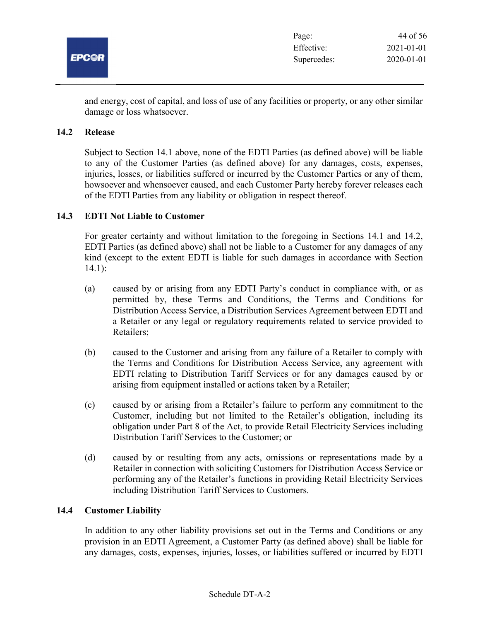

and energy, cost of capital, and loss of use of any facilities or property, or any other similar damage or loss whatsoever.

#### 14.2 Release

Subject to Section 14.1 above, none of the EDTI Parties (as defined above) will be liable to any of the Customer Parties (as defined above) for any damages, costs, expenses, injuries, losses, or liabilities suffered or incurred by the Customer Parties or any of them, howsoever and whensoever caused, and each Customer Party hereby forever releases each of the EDTI Parties from any liability or obligation in respect thereof.

#### 14.3 EDTI Not Liable to Customer

For greater certainty and without limitation to the foregoing in Sections 14.1 and 14.2, EDTI Parties (as defined above) shall not be liable to a Customer for any damages of any kind (except to the extent EDTI is liable for such damages in accordance with Section 14.1):

- (a) caused by or arising from any EDTI Party's conduct in compliance with, or as permitted by, these Terms and Conditions, the Terms and Conditions for Distribution Access Service, a Distribution Services Agreement between EDTI and a Retailer or any legal or regulatory requirements related to service provided to Retailers;
- (b) caused to the Customer and arising from any failure of a Retailer to comply with the Terms and Conditions for Distribution Access Service, any agreement with EDTI relating to Distribution Tariff Services or for any damages caused by or arising from equipment installed or actions taken by a Retailer;
- (c) caused by or arising from a Retailer's failure to perform any commitment to the Customer, including but not limited to the Retailer's obligation, including its obligation under Part 8 of the Act, to provide Retail Electricity Services including Distribution Tariff Services to the Customer; or
- (d) caused by or resulting from any acts, omissions or representations made by a Retailer in connection with soliciting Customers for Distribution Access Service or performing any of the Retailer's functions in providing Retail Electricity Services including Distribution Tariff Services to Customers.

#### 14.4 Customer Liability

In addition to any other liability provisions set out in the Terms and Conditions or any provision in an EDTI Agreement, a Customer Party (as defined above) shall be liable for any damages, costs, expenses, injuries, losses, or liabilities suffered or incurred by EDTI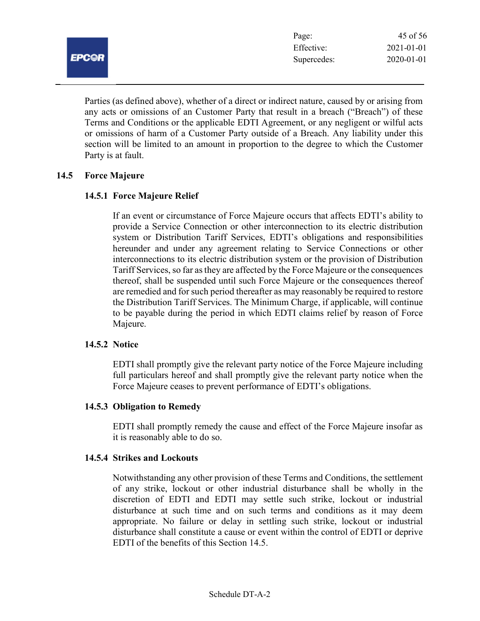

Parties (as defined above), whether of a direct or indirect nature, caused by or arising from any acts or omissions of an Customer Party that result in a breach ("Breach") of these Terms and Conditions or the applicable EDTI Agreement, or any negligent or wilful acts or omissions of harm of a Customer Party outside of a Breach. Any liability under this section will be limited to an amount in proportion to the degree to which the Customer Party is at fault.

#### 14.5 Force Majeure

#### 14.5.1 Force Majeure Relief

If an event or circumstance of Force Majeure occurs that affects EDTI's ability to provide a Service Connection or other interconnection to its electric distribution system or Distribution Tariff Services, EDTI's obligations and responsibilities hereunder and under any agreement relating to Service Connections or other interconnections to its electric distribution system or the provision of Distribution Tariff Services, so far as they are affected by the Force Majeure or the consequences thereof, shall be suspended until such Force Majeure or the consequences thereof are remedied and for such period thereafter as may reasonably be required to restore the Distribution Tariff Services. The Minimum Charge, if applicable, will continue to be payable during the period in which EDTI claims relief by reason of Force Majeure.

#### 14.5.2 Notice

EDTI shall promptly give the relevant party notice of the Force Majeure including full particulars hereof and shall promptly give the relevant party notice when the Force Majeure ceases to prevent performance of EDTI's obligations.

#### 14.5.3 Obligation to Remedy

EDTI shall promptly remedy the cause and effect of the Force Majeure insofar as it is reasonably able to do so.

#### 14.5.4 Strikes and Lockouts

Notwithstanding any other provision of these Terms and Conditions, the settlement of any strike, lockout or other industrial disturbance shall be wholly in the discretion of EDTI and EDTI may settle such strike, lockout or industrial disturbance at such time and on such terms and conditions as it may deem appropriate. No failure or delay in settling such strike, lockout or industrial disturbance shall constitute a cause or event within the control of EDTI or deprive EDTI of the benefits of this Section 14.5.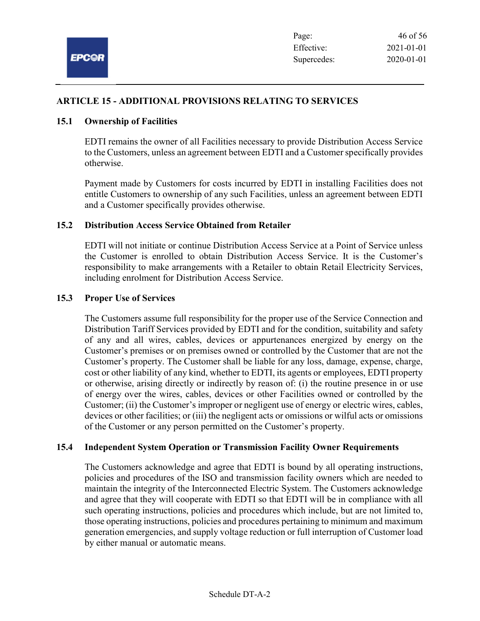

## ARTICLE 15 - ADDITIONAL PROVISIONS RELATING TO SERVICES

#### 15.1 Ownership of Facilities

EDTI remains the owner of all Facilities necessary to provide Distribution Access Service to the Customers, unless an agreement between EDTI and a Customer specifically provides otherwise.

Payment made by Customers for costs incurred by EDTI in installing Facilities does not entitle Customers to ownership of any such Facilities, unless an agreement between EDTI and a Customer specifically provides otherwise.

#### 15.2 Distribution Access Service Obtained from Retailer

EDTI will not initiate or continue Distribution Access Service at a Point of Service unless the Customer is enrolled to obtain Distribution Access Service. It is the Customer's responsibility to make arrangements with a Retailer to obtain Retail Electricity Services, including enrolment for Distribution Access Service.

#### 15.3 Proper Use of Services

The Customers assume full responsibility for the proper use of the Service Connection and Distribution Tariff Services provided by EDTI and for the condition, suitability and safety of any and all wires, cables, devices or appurtenances energized by energy on the Customer's premises or on premises owned or controlled by the Customer that are not the Customer's property. The Customer shall be liable for any loss, damage, expense, charge, cost or other liability of any kind, whether to EDTI, its agents or employees, EDTI property or otherwise, arising directly or indirectly by reason of: (i) the routine presence in or use of energy over the wires, cables, devices or other Facilities owned or controlled by the Customer; (ii) the Customer's improper or negligent use of energy or electric wires, cables, devices or other facilities; or (iii) the negligent acts or omissions or wilful acts or omissions of the Customer or any person permitted on the Customer's property.

#### 15.4 Independent System Operation or Transmission Facility Owner Requirements

The Customers acknowledge and agree that EDTI is bound by all operating instructions, policies and procedures of the ISO and transmission facility owners which are needed to maintain the integrity of the Interconnected Electric System. The Customers acknowledge and agree that they will cooperate with EDTI so that EDTI will be in compliance with all such operating instructions, policies and procedures which include, but are not limited to, those operating instructions, policies and procedures pertaining to minimum and maximum generation emergencies, and supply voltage reduction or full interruption of Customer load by either manual or automatic means.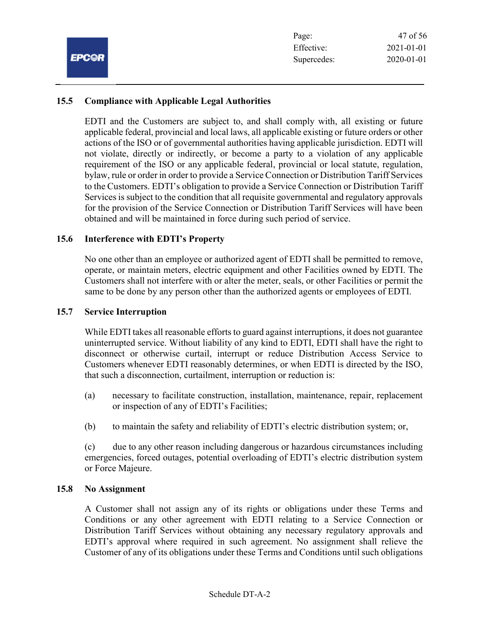## 15.5 Compliance with Applicable Legal Authorities

EDTI and the Customers are subject to, and shall comply with, all existing or future applicable federal, provincial and local laws, all applicable existing or future orders or other actions of the ISO or of governmental authorities having applicable jurisdiction. EDTI will not violate, directly or indirectly, or become a party to a violation of any applicable requirement of the ISO or any applicable federal, provincial or local statute, regulation, bylaw, rule or order in order to provide a Service Connection or Distribution Tariff Services to the Customers. EDTI's obligation to provide a Service Connection or Distribution Tariff Services is subject to the condition that all requisite governmental and regulatory approvals for the provision of the Service Connection or Distribution Tariff Services will have been obtained and will be maintained in force during such period of service.

#### 15.6 Interference with EDTI's Property

No one other than an employee or authorized agent of EDTI shall be permitted to remove, operate, or maintain meters, electric equipment and other Facilities owned by EDTI. The Customers shall not interfere with or alter the meter, seals, or other Facilities or permit the same to be done by any person other than the authorized agents or employees of EDTI.

#### 15.7 Service Interruption

While EDTI takes all reasonable efforts to guard against interruptions, it does not guarantee uninterrupted service. Without liability of any kind to EDTI, EDTI shall have the right to disconnect or otherwise curtail, interrupt or reduce Distribution Access Service to Customers whenever EDTI reasonably determines, or when EDTI is directed by the ISO, that such a disconnection, curtailment, interruption or reduction is:

- (a) necessary to facilitate construction, installation, maintenance, repair, replacement or inspection of any of EDTI's Facilities;
- (b) to maintain the safety and reliability of EDTI's electric distribution system; or,

(c) due to any other reason including dangerous or hazardous circumstances including emergencies, forced outages, potential overloading of EDTI's electric distribution system or Force Majeure.

#### 15.8 No Assignment

A Customer shall not assign any of its rights or obligations under these Terms and Conditions or any other agreement with EDTI relating to a Service Connection or Distribution Tariff Services without obtaining any necessary regulatory approvals and EDTI's approval where required in such agreement. No assignment shall relieve the Customer of any of its obligations under these Terms and Conditions until such obligations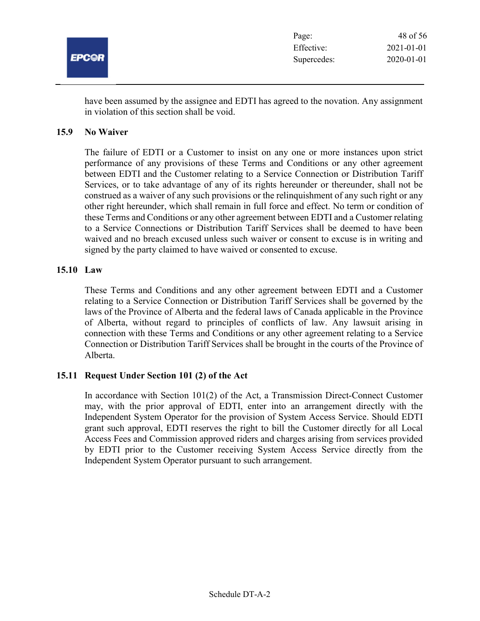

have been assumed by the assignee and EDTI has agreed to the novation. Any assignment in violation of this section shall be void.

#### 15.9 No Waiver

The failure of EDTI or a Customer to insist on any one or more instances upon strict performance of any provisions of these Terms and Conditions or any other agreement between EDTI and the Customer relating to a Service Connection or Distribution Tariff Services, or to take advantage of any of its rights hereunder or thereunder, shall not be construed as a waiver of any such provisions or the relinquishment of any such right or any other right hereunder, which shall remain in full force and effect. No term or condition of these Terms and Conditions or any other agreement between EDTI and a Customer relating to a Service Connections or Distribution Tariff Services shall be deemed to have been waived and no breach excused unless such waiver or consent to excuse is in writing and signed by the party claimed to have waived or consented to excuse.

#### 15.10 Law

These Terms and Conditions and any other agreement between EDTI and a Customer relating to a Service Connection or Distribution Tariff Services shall be governed by the laws of the Province of Alberta and the federal laws of Canada applicable in the Province of Alberta, without regard to principles of conflicts of law. Any lawsuit arising in connection with these Terms and Conditions or any other agreement relating to a Service Connection or Distribution Tariff Services shall be brought in the courts of the Province of Alberta.

#### 15.11 Request Under Section 101 (2) of the Act

In accordance with Section 101(2) of the Act, a Transmission Direct-Connect Customer may, with the prior approval of EDTI, enter into an arrangement directly with the Independent System Operator for the provision of System Access Service. Should EDTI grant such approval, EDTI reserves the right to bill the Customer directly for all Local Access Fees and Commission approved riders and charges arising from services provided by EDTI prior to the Customer receiving System Access Service directly from the Independent System Operator pursuant to such arrangement.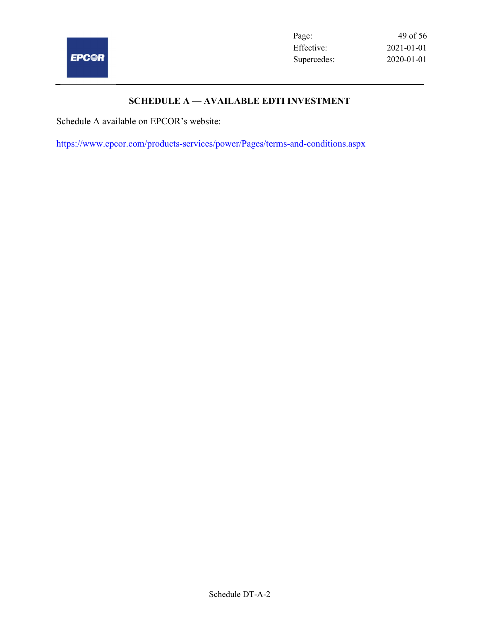

 $\overline{\phantom{0}}$ 

Page: 49 of 56 Effective: 2021-01-01 Supercedes: 2020-01-01

## SCHEDULE A — AVAILABLE EDTI INVESTMENT

Schedule A available on EPCOR's website:

https://www.epcor.com/products-services/power/Pages/terms-and-conditions.aspx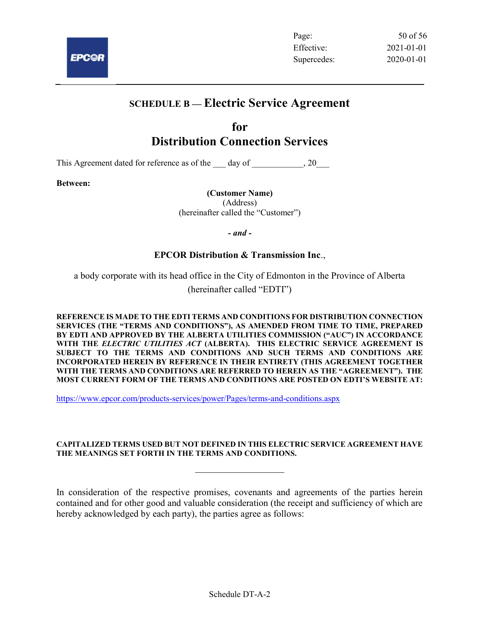

Page: 50 of 56 Effective: 2021-01-01 Supercedes: 2020-01-01

## SCHEDULE B — Electric Service Agreement

## for Distribution Connection Services

This Agreement dated for reference as of the day of  $\qquad \qquad , 20$ 

Between:

(Customer Name)

(Address) (hereinafter called the "Customer")

- and -

## EPCOR Distribution & Transmission Inc.,

a body corporate with its head office in the City of Edmonton in the Province of Alberta

(hereinafter called "EDTI")

REFERENCE IS MADE TO THE EDTI TERMS AND CONDITIONS FOR DISTRIBUTION CONNECTION SERVICES (THE "TERMS AND CONDITIONS"), AS AMENDED FROM TIME TO TIME, PREPARED BY EDTI AND APPROVED BY THE ALBERTA UTILITIES COMMISSION ("AUC") IN ACCORDANCE WITH THE ELECTRIC UTILITIES ACT (ALBERTA). THIS ELECTRIC SERVICE AGREEMENT IS SUBJECT TO THE TERMS AND CONDITIONS AND SUCH TERMS AND CONDITIONS ARE INCORPORATED HEREIN BY REFERENCE IN THEIR ENTIRETY (THIS AGREEMENT TOGETHER WITH THE TERMS AND CONDITIONS ARE REFERRED TO HEREIN AS THE "AGREEMENT"). THE MOST CURRENT FORM OF THE TERMS AND CONDITIONS ARE POSTED ON EDTI'S WEBSITE AT:

https://www.epcor.com/products-services/power/Pages/terms-and-conditions.aspx

#### CAPITALIZED TERMS USED BUT NOT DEFINED IN THIS ELECTRIC SERVICE AGREEMENT HAVE THE MEANINGS SET FORTH IN THE TERMS AND CONDITIONS.

In consideration of the respective promises, covenants and agreements of the parties herein contained and for other good and valuable consideration (the receipt and sufficiency of which are hereby acknowledged by each party), the parties agree as follows: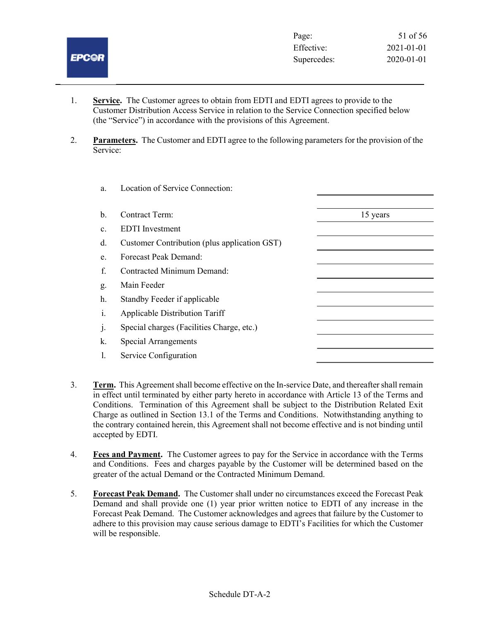# **EPC@R**

- 1. Service. The Customer agrees to obtain from EDTI and EDTI agrees to provide to the Customer Distribution Access Service in relation to the Service Connection specified below (the "Service") in accordance with the provisions of this Agreement.
- 2. Parameters. The Customer and EDTI agree to the following parameters for the provision of the Service:

| a. | Location of Service Connection:              |          |
|----|----------------------------------------------|----------|
| b. | <b>Contract Term:</b>                        | 15 years |
| c. | <b>EDTI</b> Investment                       |          |
| d. | Customer Contribution (plus application GST) |          |
| e. | <b>Forecast Peak Demand:</b>                 |          |
| f. | Contracted Minimum Demand:                   |          |
| g. | Main Feeder                                  |          |
| h. | Standby Feeder if applicable                 |          |
| i. | <b>Applicable Distribution Tariff</b>        |          |
| j. | Special charges (Facilities Charge, etc.)    |          |
| k. | <b>Special Arrangements</b>                  |          |
| 1. | Service Configuration                        |          |
|    |                                              |          |

- 3. Term. This Agreement shall become effective on the In-service Date, and thereafter shall remain in effect until terminated by either party hereto in accordance with Article 13 of the Terms and Conditions. Termination of this Agreement shall be subject to the Distribution Related Exit Charge as outlined in Section 13.1 of the Terms and Conditions. Notwithstanding anything to the contrary contained herein, this Agreement shall not become effective and is not binding until accepted by EDTI.
- 4. Fees and Payment. The Customer agrees to pay for the Service in accordance with the Terms and Conditions. Fees and charges payable by the Customer will be determined based on the greater of the actual Demand or the Contracted Minimum Demand.
- 5. Forecast Peak Demand. The Customer shall under no circumstances exceed the Forecast Peak Demand and shall provide one (1) year prior written notice to EDTI of any increase in the Forecast Peak Demand. The Customer acknowledges and agrees that failure by the Customer to adhere to this provision may cause serious damage to EDTI's Facilities for which the Customer will be responsible.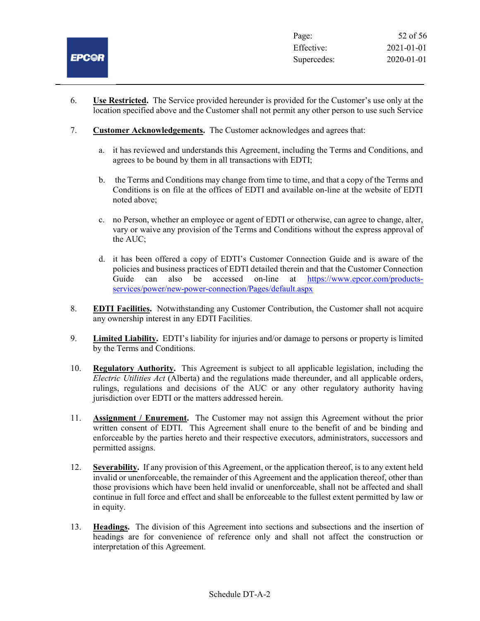

- 6. Use Restricted. The Service provided hereunder is provided for the Customer's use only at the location specified above and the Customer shall not permit any other person to use such Service
- 7. Customer Acknowledgements. The Customer acknowledges and agrees that:
	- a. it has reviewed and understands this Agreement, including the Terms and Conditions, and agrees to be bound by them in all transactions with EDTI;
	- b. the Terms and Conditions may change from time to time, and that a copy of the Terms and Conditions is on file at the offices of EDTI and available on-line at the website of EDTI noted above;
	- c. no Person, whether an employee or agent of EDTI or otherwise, can agree to change, alter, vary or waive any provision of the Terms and Conditions without the express approval of the AUC;
	- d. it has been offered a copy of EDTI's Customer Connection Guide and is aware of the policies and business practices of EDTI detailed therein and that the Customer Connection Guide can also be accessed on-line at https://www.epcor.com/productsservices/power/new-power-connection/Pages/default.aspx
- 8. EDTI Facilities. Notwithstanding any Customer Contribution, the Customer shall not acquire any ownership interest in any EDTI Facilities.
- 9. Limited Liability. EDTI's liability for injuries and/or damage to persons or property is limited by the Terms and Conditions.
- 10. Regulatory Authority. This Agreement is subject to all applicable legislation, including the Electric Utilities Act (Alberta) and the regulations made thereunder, and all applicable orders, rulings, regulations and decisions of the AUC or any other regulatory authority having jurisdiction over EDTI or the matters addressed herein.
- 11. **Assignment / Enurement.** The Customer may not assign this Agreement without the prior written consent of EDTI. This Agreement shall enure to the benefit of and be binding and enforceable by the parties hereto and their respective executors, administrators, successors and permitted assigns.
- 12. Severability. If any provision of this Agreement, or the application thereof, is to any extent held invalid or unenforceable, the remainder of this Agreement and the application thereof, other than those provisions which have been held invalid or unenforceable, shall not be affected and shall continue in full force and effect and shall be enforceable to the fullest extent permitted by law or in equity.
- 13. Headings. The division of this Agreement into sections and subsections and the insertion of headings are for convenience of reference only and shall not affect the construction or interpretation of this Agreement.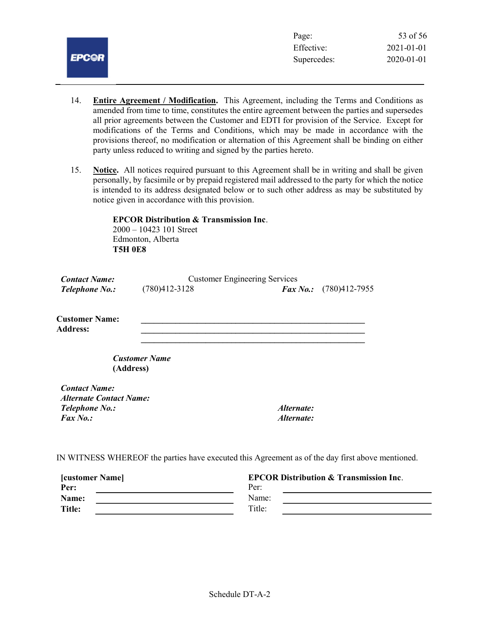

- 14. Entire Agreement / Modification. This Agreement, including the Terms and Conditions as amended from time to time, constitutes the entire agreement between the parties and supersedes all prior agreements between the Customer and EDTI for provision of the Service. Except for modifications of the Terms and Conditions, which may be made in accordance with the provisions thereof, no modification or alternation of this Agreement shall be binding on either party unless reduced to writing and signed by the parties hereto.
- 15. Notice. All notices required pursuant to this Agreement shall be in writing and shall be given personally, by facsimile or by prepaid registered mail addressed to the party for which the notice is intended to its address designated below or to such other address as may be substituted by notice given in accordance with this provision.

 EPCOR Distribution & Transmission Inc. 2000 – 10423 101 Street Edmonton, Alberta T5H 0E8

| <b>Contact Name:</b>                     | <b>Customer Engineering Services</b> |              |               |
|------------------------------------------|--------------------------------------|--------------|---------------|
| <i>Telephone No.:</i>                    | $(780)412 - 3128$                    | $Fax\,No.$ : | (780)412-7955 |
| <b>Customer Name:</b><br><b>Address:</b> |                                      |              |               |
|                                          | <b>Customer Name</b><br>(Address)    |              |               |
| <b>Contact Name:</b>                     |                                      |              |               |
| <b>Alternate Contact Name:</b>           |                                      |              |               |
| Telephone No.:                           |                                      | Alternate:   |               |
| Fax No.:                                 |                                      | Alternate:   |               |

IN WITNESS WHEREOF the parties have executed this Agreement as of the day first above mentioned.

| <b>[customer Name]</b> | <b>EPCOR Distribution &amp; Transmission Inc.</b> |  |
|------------------------|---------------------------------------------------|--|
| Per:                   | Per:                                              |  |
| Name:                  | Name:                                             |  |
| <b>Title:</b>          | Title:                                            |  |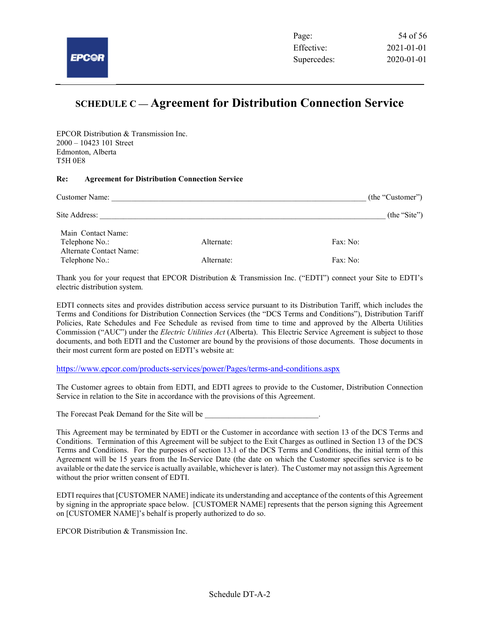## SCHEDULE C — Agreement for Distribution Connection Service

EPCOR Distribution & Transmission Inc. 2000 – 10423 101 Street Edmonton, Alberta T5H 0E8

#### Re: Agreement for Distribution Connection Service

| Customer Name:                            | (the "Customer") |              |
|-------------------------------------------|------------------|--------------|
| Site Address:                             |                  | (the "Site") |
| Main Contact Name:<br>Telephone No.:      | Alternate:       | Fax: No:     |
| Alternate Contact Name:<br>Telephone No.: | Alternate:       | Fax: No:     |

Thank you for your request that EPCOR Distribution & Transmission Inc. ("EDTI") connect your Site to EDTI's electric distribution system.

EDTI connects sites and provides distribution access service pursuant to its Distribution Tariff, which includes the Terms and Conditions for Distribution Connection Services (the "DCS Terms and Conditions"), Distribution Tariff Policies, Rate Schedules and Fee Schedule as revised from time to time and approved by the Alberta Utilities Commission ("AUC") under the *Electric Utilities Act* (Alberta). This Electric Service Agreement is subject to those documents, and both EDTI and the Customer are bound by the provisions of those documents. Those documents in their most current form are posted on EDTI's website at:

https://www.epcor.com/products-services/power/Pages/terms-and-conditions.aspx

The Customer agrees to obtain from EDTI, and EDTI agrees to provide to the Customer, Distribution Connection Service in relation to the Site in accordance with the provisions of this Agreement.

The Forecast Peak Demand for the Site will be

This Agreement may be terminated by EDTI or the Customer in accordance with section 13 of the DCS Terms and Conditions. Termination of this Agreement will be subject to the Exit Charges as outlined in Section 13 of the DCS Terms and Conditions. For the purposes of section 13.1 of the DCS Terms and Conditions, the initial term of this Agreement will be 15 years from the In-Service Date (the date on which the Customer specifies service is to be available or the date the service is actually available, whichever is later). The Customer may not assign this Agreement without the prior written consent of EDTI.

EDTI requires that [CUSTOMER NAME] indicate its understanding and acceptance of the contents of this Agreement by signing in the appropriate space below. [CUSTOMER NAME] represents that the person signing this Agreement on [CUSTOMER NAME]'s behalf is properly authorized to do so.

EPCOR Distribution & Transmission Inc.